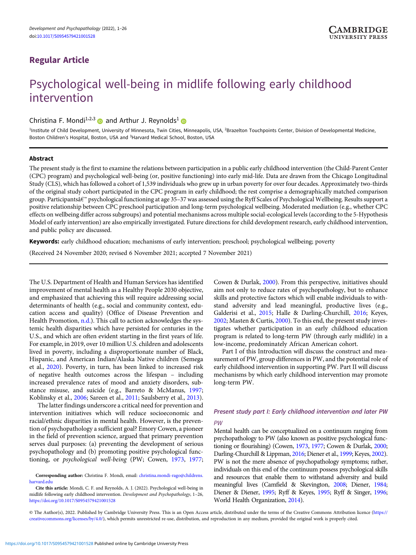# Regular Article

# Psychological well-being in midlife following early childhood intervention

Christina F. Mondi<sup>1,2,3</sup> and Arthur J. Reynolds<sup>1</sup>

<sup>1</sup>Institute of Child Development, University of Minnesota, Twin Cities, Minneapolis, USA, <sup>2</sup>Brazelton Touchpoints Center, Division of Developmental Medicine, Boston Children's Hospital, Boston, USA and <sup>3</sup>Harvard Medical School, Boston, USA

# Abstract

The present study is the first to examine the relations between participation in a public early childhood intervention (the Child-Parent Center (CPC) program) and psychological well-being (or, positive functioning) into early mid-life. Data are drawn from the Chicago Longitudinal Study (CLS), which has followed a cohort of 1,539 individuals who grew up in urban poverty for over four decades. Approximately two-thirds of the original study cohort participated in the CPC program in early childhood; the rest comprise a demographically matched comparison group. Participantsâ€™ psychological functioning at age 35–37 was assessed using the Ryff Scales of Psychological Wellbeing. Results support a positive relationship between CPC preschool participation and long-term psychological wellbeing. Moderated mediation (e.g., whether CPC effects on wellbeing differ across subgroups) and potential mechanisms across multiple social-ecological levels (according to the 5-Hypothesis Model of early intervention) are also empirically investigated. Future directions for child development research, early childhood intervention, and public policy are discussed.

Keywords: early childhood education; mechanisms of early intervention; preschool; psychological wellbeing; poverty

(Received 24 November 2020; revised 6 November 2021; accepted 7 November 2021)

The U.S. Department of Health and Human Services has identified improvement of mental health as a Healthy People 2030 objective, and emphasized that achieving this will require addressing social determinants of health (e.g., social and community context, education access and quality) (Office of Disease Prevention and Health Promotion, [n.d.\)](#page-23-0). This call to action acknowledges the systemic health disparities which have persisted for centuries in the U.S., and which are often evident starting in the first years of life. For example, in 2019, over 10 million U.S. children and adolescents lived in poverty, including a disproportionate number of Black, Hispanic, and American Indian/Alaska Native children (Semega et al., [2020\)](#page-24-0). Poverty, in turn, has been linked to increased risk of negative health outcomes across the lifespan – including increased prevalence rates of mood and anxiety disorders, substance misuse, and suicide (e.g., Barreto & McManus, [1997;](#page-22-0) Koblinsky et al., [2006](#page-23-0); Sareen et al., [2011;](#page-24-0) Saulsberry et al., [2013\)](#page-24-0).

The latter findings underscore a critical need for prevention and intervention initiatives which will reduce socioeconomic and racial/ethnic disparities in mental health. However, is the prevention of psychopathology a sufficient goal? Emory Cowen, a pioneer in the field of prevention science, argued that primary prevention serves dual purposes: (a) preventing the development of serious psychopathology and (b) promoting positive psychological functioning, or psychological well-being (PW; Cowen, [1973](#page-22-0), [1977;](#page-22-0)

Cowen & Durlak, [2000](#page-22-0)). From this perspective, initiatives should aim not only to reduce rates of psychopathology, but to enhance skills and protective factors which will enable individuals to withstand adversity and lead meaningful, productive lives (e.g., Galderisi et al., [2015](#page-22-0); Halle & Darling-Churchill, [2016](#page-23-0); Keyes, [2002](#page-23-0); Masten & Curtis, [2000\)](#page-23-0). To this end, the present study investigates whether participation in an early childhood education program is related to long-term PW (through early midlife) in a low-income, predominately African American cohort.

Part I of this Introduction will discuss the construct and measurement of PW, group differences in PW, and the potential role of early childhood intervention in supporting PW. Part II will discuss mechanisms by which early childhood intervention may promote long-term PW.

# Present study part I: Early childhood intervention and later PW

PW

Mental health can be conceptualized on a continuum ranging from psychopathology to PW (also known as positive psychological functioning or flourishing) (Cowen, [1973](#page-22-0), [1977](#page-22-0); Cowen & Durlak, [2000;](#page-22-0) Darling-Churchill & Lippman, [2016;](#page-22-0) Diener et al., [1999;](#page-22-0) Keyes, [2002\)](#page-23-0). PW is not the mere absence of psychopathology symptoms; rather, individuals on this end of the continuum possess psychological skills and resources that enable them to withstand adversity and build meaningful lives (Camfield & Skevington, [2008;](#page-22-0) Diener, [1984;](#page-22-0) Diener & Diener, [1995;](#page-22-0) Ryff & Keyes, [1995](#page-24-0); Ryff & Singer, [1996;](#page-24-0) World Health Organization, [2014](#page-24-0)).

© The Author(s), 2022. Published by Cambridge University Press. This is an Open Access article, distributed under the terms of the Creative Commons Attribution licence ([https://](https://creativecommons.org/licenses/by/4.0/) [creativecommons.org/licenses/by/4.0/](https://creativecommons.org/licenses/by/4.0/)), which permits unrestricted re-use, distribution, and reproduction in any medium, provided the original work is properly cited.

Corresponding author: Christina F. Mondi, email: [christina.mondi-rago@childrens.](mailto:christina.mondi-rago@childrens.harvard.edu) [harvard.edu](mailto:christina.mondi-rago@childrens.harvard.edu)

Cite this article: Mondi, C. F. and Reynolds, A. J. (2022). Psychological well-being in midlife following early childhood intervention. Development and Psychopathology, 1–26, <https://doi.org/10.1017/S0954579421001528>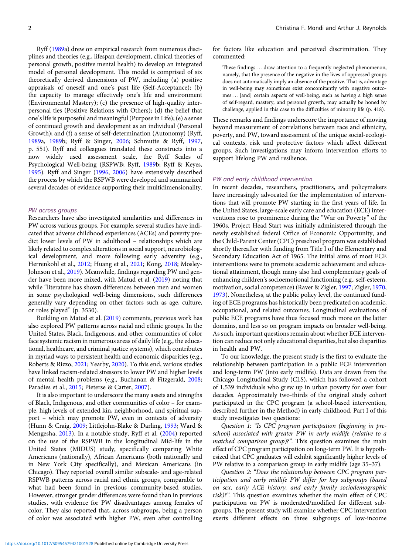Ryff ([1989](#page-24-0)a) drew on empirical research from numerous disciplines and theories (e.g., lifespan development, clinical theories of personal growth, positive mental health) to develop an integrated model of personal development. This model is comprised of six theoretically derived dimensions of PW, including (a) positive appraisals of oneself and one's past life (Self-Acceptance); (b) the capacity to manage effectively one's life and environment (Environmental Mastery); (c) the presence of high-quality interpersonal ties (Positive Relations with Others); (d) the belief that one's life is purposeful and meaningful (Purpose in Life); (e) a sense of continued growth and development as an individual (Personal Growth); and (f) a sense of self-determination (Autonomy) (Ryff, [1989a](#page-24-0), [1989b](#page-24-0); Ryff & Singer, [2006](#page-24-0); Schmutte & Ryff, [1997](#page-24-0), p. 551). Ryff and colleagues translated these constructs into a now widely used assessment scale, the Ryff Scales of Psychological Well-being (RSPWB; Ryff, [1989](#page-24-0)b; Ryff & Keyes, [1995\)](#page-24-0). Ryff and Singer ([1996](#page-24-0), [2006](#page-24-0)) have extensively described the process by which the RSPWB were developed and summarized several decades of evidence supporting their multidimensionality.

#### PW across groups

Researchers have also investigated similarities and differences in PW across various groups. For example, several studies have indicated that adverse childhood experiences (ACEs) and poverty predict lower levels of PW in adulthood – relationships which are likely related to complex alterations in social support, neurobiological development, and more following early adversity (e.g., Herrenkohl et al., [2012](#page-23-0); Huang et al., [2021;](#page-23-0) Kong, [2018;](#page-23-0) Mosley-Johnson et al., [2019](#page-23-0)). Meanwhile, findings regarding PW and gender have been more mixed, with Matud et al. [\(2019](#page-23-0)) noting that while "literature has shown differences between men and women in some psychological well-being dimensions, such differences generally vary depending on other factors such as age, culture, or roles played" (p. 3530).

Building on Matud et al. ([2019\)](#page-23-0) comments, previous work has also explored PW patterns across racial and ethnic groups. In the United States, Black, Indigenous, and other communities of color face systemic racism in numerous areas of daily life (e.g., the educational, healthcare, and criminal justice systems), which contributes in myriad ways to persistent health and economic disparities (e.g., Roberts & Rizzo, [2021;](#page-24-0) Yearby, [2020](#page-24-0)). To this end, various studies have linked racism-related stressors to lower PW and higher levels of mental health problems (e.g., Buchanan & Fitzgerald, [2008](#page-22-0); Paradies et al., [2015;](#page-24-0) Pieterse & Carter, [2007](#page-24-0)).

It is also important to underscore the many assets and strengths of Black, Indigenous, and other communities of color – for example, high levels of extended kin, neighborhood, and spiritual support – which may promote PW, even in contexts of adversity (Hunn & Craig, [2009;](#page-23-0) Littlejohn-Blake & Darling, [1993](#page-23-0); Ward & Mengesha, [2013\)](#page-24-0). In a notable study, Ryff et al. [\(2004](#page-24-0)) reported on the use of the RSPWB in the longitudinal Mid-life in the United States (MIDUS) study, specifically comparing White Americans (nationally), African Americans (both nationally and in New York City specifically), and Mexican Americans (in Chicago). They reported overall similar subscale- and age-related RSPWB patterns across racial and ethnic groups, comparable to what had been found in previous community-based studies. However, stronger gender differences were found than in previous studies, with evidence for PW disadvantages among females of color. They also reported that, across subgroups, being a person of color was associated with higher PW, even after controlling for factors like education and perceived discrimination. They commented:

These findings . . . draw attention to a frequently neglected phenomenon, namely, that the presence of the negative in the lives of oppressed groups does not automatically imply an absence of the positive. That is, advantage in well-being may sometimes exist concomitantly with negative outcomes:::[and] certain aspects of well-being, such as having a high sense of self-regard, mastery, and personal growth, may actually be honed by challenge, applied in this case to the difficulties of minority life (p. 418).

These remarks and findings underscore the importance of moving beyond measurement of correlations between race and ethnicity, poverty, and PW, toward assessment of the unique social-ecological contexts, risk and protective factors which affect different groups. Such investigations may inform intervention efforts to support lifelong PW and resilience.

# PW and early childhood intervention

In recent decades, researchers, practitioners, and policymakers have increasingly advocated for the implementation of interventions that will promote PW starting in the first years of life. In the United States, large-scale early care and education (ECE) interventions rose to prominence during the "War on Poverty" of the 1960s. Project Head Start was initially administered through the newly established federal Office of Economic Opportunity, and the Child-Parent Center (CPC) preschool program was established shortly thereafter with funding from Title I of the Elementary and Secondary Education Act of 1965. The initial aims of most ECE interventions were to promote academic achievement and educational attainment, though many also had complementary goals of enhancing children's socioemotional functioning (e.g., self-esteem, motivation, social competence) (Raver & Zigler, [1997](#page-24-0); Zigler, [1970](#page-25-0), [1973\)](#page-25-0). Nonetheless, at the public policy level, the continued funding of ECE programs has historically been predicated on academic, occupational, and related outcomes. Longitudinal evaluations of public ECE programs have thus focused much more on the latter domains, and less so on program impacts on broader well-being. As such, important questions remain about whether ECE intervention can reduce not only educational disparities, but also disparities in health and PW.

To our knowledge, the present study is the first to evaluate the relationship between participation in a public ECE intervention and long-term PW (into early midlife). Data are drawn from the Chicago Longitudinal Study (CLS), which has followed a cohort of 1,539 individuals who grew up in urban poverty for over four decades. Approximately two-thirds of the original study cohort participated in the CPC program (a school-based intervention, described further in the Method) in early childhood. Part I of this study investigates two questions:

Question 1: "Is CPC program participation (beginning in preschool) associated with greater PW in early midlife (relative to a matched comparison group)?". This question examines the main effect of CPC program participation on long-term PW. It is hypothesized that CPC graduates will exhibit significantly higher levels of PW relative to a comparison group in early midlife (age 35–37).

Question 2: "Does the relationship between CPC program participation and early midlife PW differ for key subgroups (based on sex, early ACE history, and early family sociodemographic risk)?". This question examines whether the main effect of CPC participation on PW is moderated/modified for different subgroups. The present study will examine whether CPC intervention exerts different effects on three subgroups of low-income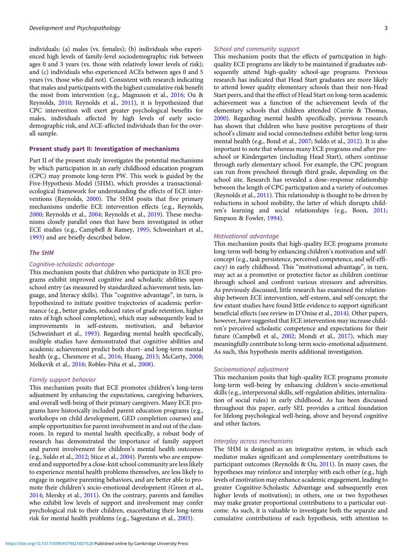individuals: (a) males (vs. females); (b) individuals who experienced high levels of family-level sociodemographic risk between ages 0 and 3 years (vs. those with relatively lower levels of risk); and (c) individuals who experienced ACEs between ages 0 and 5 years (vs. those who did not). Consistent with research indicating that males and participants with the highest cumulative risk benefit the most from intervention (e.g., Magnuson et al., [2016;](#page-23-0) Ou & Reynolds, [2010;](#page-23-0) Reynolds et al., [2011\)](#page-24-0), it is hypothesized that CPC intervention will exert greater psychological benefits for males, individuals affected by high levels of early sociodemographic risk, and ACE-affected individuals than for the overall sample.

# Present study part II: Investigation of mechanisms

Part II of the present study investigates the potential mechanisms by which participation in an early childhood education program (CPC) may promote long-term PW. This work is guided by the Five-Hypothesis Model (5HM), which provides a transactionalecological framework for understanding the effects of ECE interventions (Reynolds, [2000\)](#page-24-0). The 5HM posits that five primary mechanisms underlie ECE intervention effects (e.g., Reynolds, [2000](#page-24-0); Reynolds et al., [2004;](#page-24-0) Reynolds et al., [2019](#page-24-0)). These mechanisms closely parallel ones that have been investigated in other ECE studies (e.g., Campbell & Ramey, [1995;](#page-22-0) Schweinhart et al., [1993](#page-24-0)) and are briefly described below.

#### The 5HM

#### Cognitive-scholastic advantage

This mechanism posits that children who participate in ECE programs exhibit improved cognitive and scholastic abilities upon school entry (as measured by standardized achievement tests, language, and literacy skills). This "cognitive advantage", in turn, is hypothesized to initiate positive trajectories of academic performance (e.g., better grades, reduced rates of grade retention, higher rates of high school completion), which may subsequently lead to improvements in self-esteem, motivation, and behavior (Schweinhart et al., [1993](#page-24-0)). Regarding mental health specifically, multiple studies have demonstrated that cognitive abilities and academic achievement predict both short- and long-term mental health (e.g., Chesmore et al., [2016;](#page-22-0) Huang, [2015;](#page-23-0) McCarty, [2008;](#page-23-0) Melkevik et al., [2016](#page-23-0); Robles-Piña et al., [2008](#page-24-0)).

# Family support behavior

This mechanism posits that ECE promotes children's long-term adjustment by enhancing the expectations, caregiving behaviors, and overall well-being of their primary caregivers. Many ECE programs have historically included parent education programs (e.g., workshops on child development, GED completion courses) and ample opportunities for parent involvement in and out of the classroom. In regard to mental health specifically, a robust body of research has demonstrated the importance of family support and parent involvement for children's mental health outcomes (e.g., Suldo et al., [2012;](#page-24-0) Stice et al., [2004\)](#page-24-0). Parents who are empowered and supported by a close-knit school community are less likely to experience mental health problems themselves, are less likely to engage in negative parenting behaviors, and are better able to promote their children's socio-emotional development (Green et al., [2014](#page-22-0); Mersky et al., [2011](#page-23-0)). On the contrary, parents and families who exhibit low levels of support and involvement may confer psychological risk to their children, exacerbating their long-term risk for mental health problems (e.g., Sagrestano et al., [2003](#page-24-0)).

#### School and community support

This mechanism posits that the effects of participation in highquality ECE programs are likely to be maintained if graduates subsequently attend high-quality school-age programs. Previous research has indicated that Head Start graduates are more likely to attend lower quality elementary schools than their non-Head Start peers, and that the effect of Head Start on long-term academic achievement was a function of the achievement levels of the elementary schools that children attended (Currie & Thomas, [2000](#page-22-0)). Regarding mental health specifically, previous research has shown that children who have positive perceptions of their school's climate and social connectedness exhibit better long-term mental health (e.g., Bond et al., [2007](#page-22-0); Suldo et al., [2012](#page-24-0)). It is also important to note that whereas many ECE programs end after preschool or Kindergarten (including Head Start), others continue through early elementary school. For example, the CPC program can run from preschool through third grade, depending on the school site. Research has revealed a dose–response relationship between the length of CPC participation and a variety of outcomes (Reynolds et al., [2011\)](#page-24-0). This relationship is thought to be driven by reductions in school mobility, the latter of which disrupts children's learning and social relationships (e.g., Boon, [2011;](#page-22-0) Simpson & Fowler, [1994\)](#page-24-0).

#### Motivational advantage

This mechanism posits that high-quality ECE programs promote long-term well-being by enhancing children's motivation and selfconcept (e.g., task persistence, perceived competence, and self-efficacy) in early childhood. This "motivational advantage", in turn, may act as a promotive or protective factor as children continue through school and confront various stressors and adversities. As previously discussed, little research has examined the relationship between ECE intervention, self-esteem, and self-concept; the few extant studies have found little evidence to support significant beneficial effects (see review in D'Onise et al., [2014](#page-22-0)). Other papers, however, have suggested that ECE intervention may increase children's perceived scholastic competence and expectations for their future (Campbell et al., [2002](#page-22-0); Mondi et al., [2017\)](#page-23-0), which may meaningfully contribute to long-term socio-emotional adjustment. As such, this hypothesis merits additional investigation.

#### Socioemotional adjustment

This mechanism posits that high-quality ECE programs promote long-term well-being by enhancing children's socio-emotional skills (e.g., interpersonal skills, self-regulation abilities, internalization of social rules) in early childhood. As has been discussed throughout this paper, early SEL provides a critical foundation for lifelong psychological well-being, above and beyond cognitive and other factors.

# Interplay across mechanisms

The 5HM is designed as an integrative system, in which each mediator makes significant and complementary contributions to participant outcomes (Reynolds & Ou, [2011](#page-24-0)). In many cases, the hypotheses may reinforce and interplay with each other (e.g., high levels of motivation may enhance academic engagement, leading to greater Cognitive-Scholastic Advantage and subsequently even higher levels of motivation); in others, one or two hypotheses may make greater proportional contributions to a particular outcome. As such, it is valuable to investigate both the separate and cumulative contributions of each hypothesis, with attention to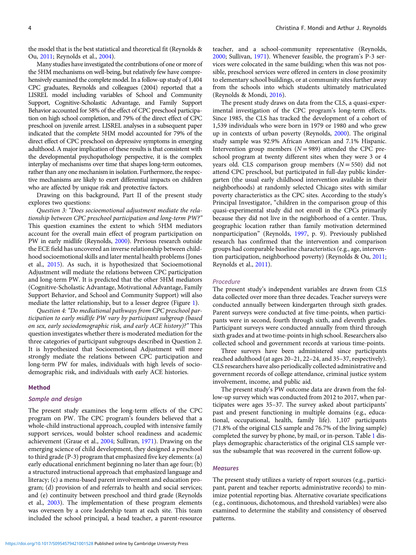the model that is the best statistical and theoretical fit (Reynolds & Ou, [2011;](#page-24-0) Reynolds et al., [2004\)](#page-24-0).

Many studies have investigated the contributions of one or more of the 5HM mechanisms on well-being, but relatively few have comprehensively examined the complete model. In a follow-up study of 1,404 CPC graduates, Reynolds and colleagues (2004) reported that a LISREL model including variables of School and Community Support, Cognitive-Scholastic Advantage, and Family Support Behavior accounted for 58% of the effect of CPC preschool participation on high school completion, and 79% of the direct effect of CPC preschool on juvenile arrest. LISREL analyses in a subsequent paper indicated that the complete 5HM model accounted for 79% of the direct effect of CPC preschool on depressive symptoms in emerging adulthood. A major implication of these results is that consistent with the developmental psychopathology perspective, it is the complex interplay of mechanisms over time that shapes long-term outcomes, rather than any one mechanism in isolation. Furthermore, the respective mechanisms are likely to exert differential impacts on children who are affected by unique risk and protective factors.

Drawing on this background, Part II of the present study explores two questions:

Question 3: "Does socioemotional adjustment mediate the relationship between CPC preschool participation and long-term PW?" This question examines the extent to which 5HM mediators account for the overall main effect of program participation on PW in early midlife (Reynolds, [2000\)](#page-24-0). Previous research outside the ECE field has uncovered an inverse relationship between childhood socioemotional skills and later mental health problems (Jones et al., [2015\)](#page-23-0). As such, it is hypothesized that Socioemotional Adjustment will mediate the relations between CPC participation and long-term PW. It is predicted that the other 5HM mediators (Cognitive-Scholastic Advantage, Motivational Advantage, Family Support Behavior, and School and Community Support) will also mediate the latter relationship, but to a lesser degree (Figure [1\)](#page-4-0).

Question 4: "Do mediational pathways from CPC preschool participation to early midlife PW vary by participant subgroup (based on sex, early sociodemographic risk, and early ACE history)?" This question investigates whether there is moderated mediation for the three categories of participant subgroups described in Question 2. It is hypothesized that Socioemotional Adjustment will more strongly mediate the relations between CPC participation and long-term PW for males, individuals with high levels of sociodemographic risk, and individuals with early ACE histories.

#### Method

#### Sample and design

The present study examines the long-term effects of the CPC program on PW. The CPC program's founders believed that a whole-child instructional approach, coupled with intensive family support services, would bolster school readiness and academic achievement (Graue et al., [2004](#page-22-0); Sullivan, [1971\)](#page-24-0). Drawing on the emerging science of child development, they designed a preschool to third grade (P-3) program that emphasized five key elements: (a) early educational enrichment beginning no later than age four; (b) a structured instructional approach that emphasized language and literacy; (c) a menu-based parent involvement and education program; (d) provision of and referrals to health and social services; and (e) continuity between preschool and third grade (Reynolds et al., [2003](#page-24-0)). The implementation of these program elements was overseen by a core leadership team at each site. This team included the school principal, a head teacher, a parent-resource

teacher, and a school-community representative (Reynolds, [2000;](#page-24-0) Sullivan, [1971\)](#page-24-0). Whenever feasible, the program's P-3 services were colocated in the same building; when this was not possible, preschool services were offered in centers in close proximity to elementary school buildings, or at community sites further away from the schools into which students ultimately matriculated (Reynolds & Mondi, [2016](#page-24-0)).

The present study draws on data from the CLS, a quasi-experimental investigation of the CPC program's long-term effects. Since 1985, the CLS has tracked the development of a cohort of 1,539 individuals who were born in 1979 or 1980 and who grew up in contexts of urban poverty (Reynolds, [2000\)](#page-24-0). The original study sample was 92.9% African American and 7.1% Hispanic. Intervention group members  $(N = 989)$  attended the CPC preschool program at twenty different sites when they were 3 or 4 years old. CLS comparison group members  $(N = 550)$  did not attend CPC preschool, but participated in full-day public kindergarten (the usual early childhood intervention available in their neighborhoods) at randomly selected Chicago sites with similar poverty characteristics as the CPC sites. According to the study's Principal Investigator, "children in the comparison group of this quasi-experimental study did not enroll in the CPCs primarily because they did not live in the neighborhood of a center. Thus, geographic location rather than family motivation determined nonparticipation" (Reynolds, [1997,](#page-24-0) p. 9). Previously published research has confirmed that the intervention and comparison groups had comparable baseline characteristics (e.g., age, intervention participation, neighborhood poverty) (Reynolds & Ou, [2011](#page-24-0); Reynolds et al., [2011\)](#page-24-0).

# Procedure

The present study's independent variables are drawn from CLS data collected over more than three decades. Teacher surveys were conducted annually between kindergarten through sixth grades. Parent surveys were conducted at five time-points, when participants were in second, fourth through sixth, and eleventh grades. Participant surveys were conducted annually from third through sixth grades and at two time-points in high school. Researchers also collected school and government records at various time-points.

Three surveys have been administered since participants reached adulthood (at ages 20–21, 22–24, and 35–37, respectively). CLS researchers have also periodically collected administrative and government records of college attendance, criminal justice system involvement, income, and public aid.

The present study's PW outcome data are drawn from the follow-up survey which was conducted from 2012 to 2017, when participates were ages 35–37. The survey asked about participants' past and present functioning in multiple domains (e.g., educational, occupational, health, family life). 1,107 participants (71.8% of the original CLS sample and 76.7% of the living sample) completed the survey by phone, by mail, or in-person. Table [1](#page-5-0) displays demographic characteristics of the original CLS sample versus the subsample that was recovered in the current follow-up.

### **Measures**

The present study utilizes a variety of report sources (e.g., participant, parent and teacher reports; administrative records) to minimize potential reporting bias. Alternative covariate specifications (e.g., continuous, dichotomous, and threshold variables) were also examined to determine the stability and consistency of observed patterns.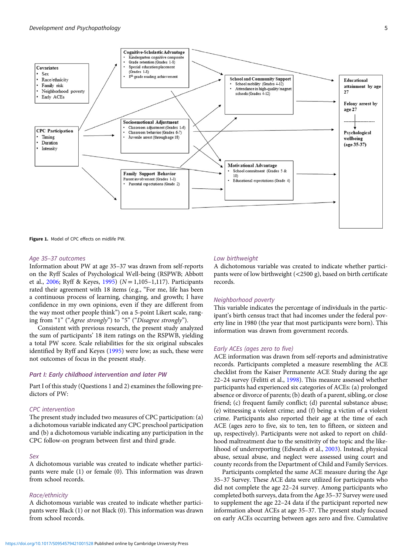<span id="page-4-0"></span>

Figure 1. Model of CPC effects on midlife PW

#### Age 35–37 outcomes

Information about PW at age 35–37 was drawn from self-reports on the Ryff Scales of Psychological Well-being (RSPWB; Abbott et al., [2006](#page-22-0); Ryff & Keyes, [1995\)](#page-24-0) ( $N = 1,105-1,117$ ). Participants rated their agreement with 18 items (e.g., "For me, life has been a continuous process of learning, changing, and growth; I have confidence in my own opinions, even if they are different from the way most other people think") on a 5-point Likert scale, ranging from "1" ("Agree strongly") to "5" ("Disagree strongly").

Consistent with previous research, the present study analyzed the sum of participants' 18 item ratings on the RSPWB, yielding a total PW score. Scale reliabilities for the six original subscales identified by Ryff and Keyes ([1995](#page-24-0)) were low; as such, these were not outcomes of focus in the present study.

# Part I: Early childhood intervention and later PW

Part I of this study (Questions 1 and 2) examines the following predictors of PW:

# CPC intervention

The present study included two measures of CPC participation: (a) a dichotomous variable indicated any CPC preschool participation and (b) a dichotomous variable indicating any participation in the CPC follow-on program between first and third grade.

#### Sex

A dichotomous variable was created to indicate whether participants were male (1) or female (0). This information was drawn from school records.

#### Race/ethnicity

A dichotomous variable was created to indicate whether participants were Black (1) or not Black (0). This information was drawn from school records.

#### Low birthweight

A dichotomous variable was created to indicate whether participants were of low birthweight (<2500 g), based on birth certificate records.

# Neighborhood poverty

This variable indicates the percentage of individuals in the participant's birth census tract that had incomes under the federal poverty line in 1980 (the year that most participants were born). This information was drawn from government records.

#### Early ACEs (ages zero to five)

ACE information was drawn from self-reports and administrative records. Participants completed a measure resembling the ACE checklist from the Kaiser Permanente ACE Study during the age 22–24 survey (Felitti et al., [1998](#page-22-0)). This measure assessed whether participants had experienced six categories of ACEs: (a) prolonged absence or divorce of parents; (b) death of a parent, sibling, or close friend; (c) frequent family conflict; (d) parental substance abuse; (e) witnessing a violent crime; and (f) being a victim of a violent crime. Participants also reported their age at the time of each ACE (ages zero to five, six to ten, ten to fifteen, or sixteen and up, respectively). Participants were not asked to report on childhood maltreatment due to the sensitivity of the topic and the likelihood of underreporting (Edwards et al., [2003\)](#page-22-0). Instead, physical abuse, sexual abuse, and neglect were assessed using court and county records from the Department of Child and Family Services.

Participants completed the same ACE measure during the Age 35–37 Survey. These ACE data were utilized for participants who did not complete the age 22–24 survey. Among participants who completed both surveys, data from the Age 35–37 Survey were used to supplement the age 22–24 data if the participant reported new information about ACEs at age 35–37. The present study focused on early ACEs occurring between ages zero and five. Cumulative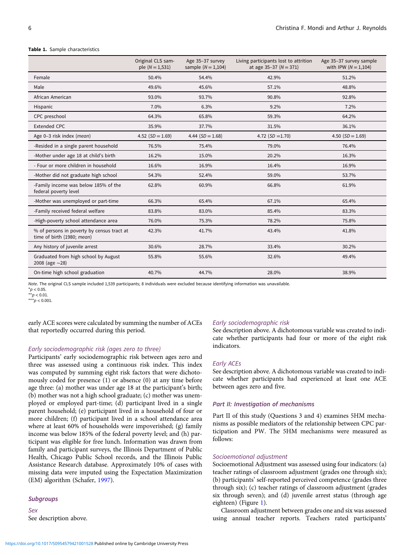#### <span id="page-5-0"></span>Table 1. Sample characteristics

|                                                                          | Original CLS sam-<br>ple $(N = 1, 531)$ | Age 35-37 survey<br>sample $(N = 1, 104)$ | Living participants lost to attrition<br>at age $35-37$ ( $N = 371$ ) | Age 35-37 survey sample<br>with IPW ( $N = 1,104$ ) |
|--------------------------------------------------------------------------|-----------------------------------------|-------------------------------------------|-----------------------------------------------------------------------|-----------------------------------------------------|
| Female                                                                   | 50.4%                                   | 54.4%                                     | 42.9%                                                                 | 51.2%                                               |
| Male                                                                     | 49.6%                                   | 45.6%                                     | 57.1%                                                                 | 48.8%                                               |
| African American                                                         | 93.0%                                   | 93.7%                                     | 90.8%                                                                 | 92.8%                                               |
| Hispanic                                                                 | 7.0%                                    | 6.3%                                      | 9.2%                                                                  | 7.2%                                                |
| CPC preschool                                                            | 64.3%                                   | 65.8%                                     | 59.3%                                                                 | 64.2%                                               |
| <b>Extended CPC</b>                                                      | 35.9%                                   | 37.7%                                     | 31.5%                                                                 | 36.1%                                               |
| Age 0-3 risk index (mean)                                                | 4.52 $(SD = 1.69)$                      | 4.44 $(SD = 1.68)$                        | 4.72 $(SD = 1.70)$                                                    | 4.50 $(SD = 1.69)$                                  |
| -Resided in a single parent household                                    | 76.5%                                   | 75.4%                                     | 79.0%                                                                 | 76.4%                                               |
| -Mother under age 18 at child's birth                                    | 16.2%                                   | 15.0%                                     | 20.2%                                                                 | 16.3%                                               |
| - Four or more children in household                                     | 16.6%                                   | 16.9%                                     | 16.4%                                                                 | 16.9%                                               |
| -Mother did not graduate high school                                     | 54.3%                                   | 52.4%                                     | 59.0%                                                                 | 53.7%                                               |
| -Family income was below 185% of the<br>federal poverty level            | 62.8%                                   | 60.9%                                     | 66.8%                                                                 | 61.9%                                               |
| -Mother was unemployed or part-time                                      | 66.3%                                   | 65.4%                                     | 67.1%                                                                 | 65.4%                                               |
| -Family received federal welfare                                         | 83.8%                                   | 83.0%                                     | 85.4%                                                                 | 83.3%                                               |
| -High-poverty school attendance area                                     | 76.0%                                   | 75.3%                                     | 78.2%                                                                 | 75.8%                                               |
| % of persons in poverty by census tract at<br>time of birth (1980; mean) | 42.3%                                   | 41.7%                                     | 43.4%                                                                 | 41.8%                                               |
| Any history of juvenile arrest                                           | 30.6%                                   | 28.7%                                     | 33.4%                                                                 | 30.2%                                               |
| Graduated from high school by August<br>2008 (age $\sim$ 28)             | 55.8%                                   | 55.6%                                     | 32.6%                                                                 | 49.4%                                               |
| On-time high school graduation                                           | 40.7%                                   | 44.7%                                     | 28.0%                                                                 | 38.9%                                               |

Note. The original CLS sample included 1,539 participants; 8 individuals were excluded because identifying information was unavailable.

 $*$ *p* < 0.05.  $*p < 0.01$ .

\*\*\* $p < 0.001$ .

early ACE scores were calculated by summing the number of ACEs that reportedly occurred during this period.

#### Early sociodemographic risk (ages zero to three)

Participants' early sociodemographic risk between ages zero and three was assessed using a continuous risk index. This index was computed by summing eight risk factors that were dichotomously coded for presence (1) or absence (0) at any time before age three: (a) mother was under age 18 at the participant's birth; (b) mother was not a high school graduate; (c) mother was unemployed or employed part-time; (d) participant lived in a single parent household; (e) participant lived in a household of four or more children; (f) participant lived in a school attendance area where at least 60% of households were impoverished; (g) family income was below 185% of the federal poverty level; and (h) participant was eligible for free lunch. Information was drawn from family and participant surveys, the Illinois Department of Public Health, Chicago Public School records, and the Illinois Public Assistance Research database. Approximately 10% of cases with missing data were imputed using the Expectation Maximization (EM) algorithm (Schafer, [1997](#page-24-0)).

#### **Subgroups**

Sex See description above.

#### Early sociodemographic risk

See description above. A dichotomous variable was created to indicate whether participants had four or more of the eight risk indicators.

#### Early ACEs

See description above. A dichotomous variable was created to indicate whether participants had experienced at least one ACE between ages zero and five.

#### Part II: Investigation of mechanisms

Part II of this study (Questions 3 and 4) examines 5HM mechanisms as possible mediators of the relationship between CPC participation and PW. The 5HM mechanisms were measured as follows:

#### Socioemotional adjustment

Socioemotional Adjustment was assessed using four indicators: (a) teacher ratings of classroom adjustment (grades one through six); (b) participants' self-reported perceived competence (grades three through six); (c) teacher ratings of classroom adjustment (grades six through seven); and (d) juvenile arrest status (through age eighteen) (Figure [1](#page-4-0)).

Classroom adjustment between grades one and six was assessed using annual teacher reports. Teachers rated participants'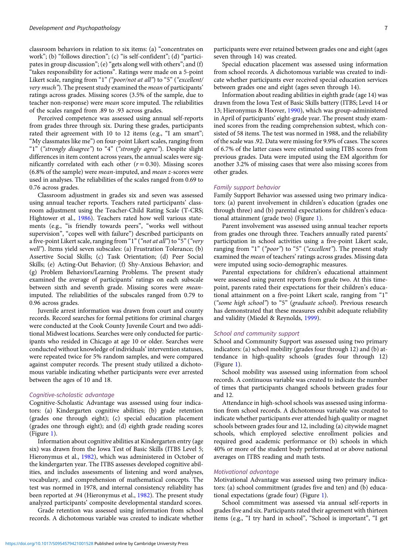classroom behaviors in relation to six items: (a) "concentrates on work"; (b) "follows direction"; (c) "is self-confident"; (d) "participates in group discussion"; (e) "gets along well with others"; and (f) "takes responsibility for actions". Ratings were made on a 5-point Likert scale, ranging from "1" ("poor/not at all") to "5" ("excellent/ very much"). The present study examined the *mean* of participants' ratings across grades. Missing scores (3.5% of the sample, due to teacher non-response) were mean score imputed. The reliabilities of the scales ranged from .89 to .93 across grades.

Perceived competence was assessed using annual self-reports from grades three through six. During these grades, participants rated their agreement with 10 to 12 items (e.g., "I am smart"; "My classmates like me") on four-point Likert scales, ranging from "1" ("strongly disagree") to "4" ("strongly agree"). Despite slight differences in item content across years, the annual scales were significantly correlated with each other  $(r = 0.30)$ . Missing scores (6.8% of the sample) were mean-imputed, and mean z-scores were used in analyses. The reliabilities of the scales ranged from 0.69 to 0.76 across grades.

Classroom adjustment in grades six and seven was assessed using annual teacher reports. Teachers rated participants' classroom adjustment using the Teacher-Child Rating Scale (T-CRS; Hightower et al., [1986\)](#page-23-0). Teachers rated how well various statements (e.g., "is friendly towards peers", "works well without supervision", "copes well with failure") described participants on a five-point Likert scale, ranging from "1" ("not at all") to "5" ("very well"). Items yield seven subscales: (a) Frustration Tolerance; (b) Assertive Social Skills; (c) Task Orientation; (d) Peer Social Skills; (e) Acting-Out Behavior; (f) Shy-Anxious Behavior; and (g) Problem Behaviors/Learning Problems. The present study examined the average of participants' ratings on each subscale between sixth and seventh grade. Missing scores were meanimputed. The reliabilities of the subscales ranged from 0.79 to 0.96 across grades.

Juvenile arrest information was drawn from court and county records. Record searches for formal petitions for criminal charges were conducted at the Cook County Juvenile Court and two additional Midwest locations. Searches were only conducted for participants who resided in Chicago at age 10 or older. Searches were conducted without knowledge of individuals' intervention statuses, were repeated twice for 5% random samples, and were compared against computer records. The present study utilized a dichotomous variable indicating whether participants were ever arrested between the ages of 10 and 18.

## Cognitive-scholastic advantage

Cognitive-Scholastic Advantage was assessed using four indicators: (a) Kindergarten cognitive abilities; (b) grade retention (grades one through eight); (c) special education placement (grades one through eight); and (d) eighth grade reading scores (Figure [1\)](#page-4-0).

Information about cognitive abilities at Kindergarten entry (age six) was drawn from the Iowa Test of Basic Skills (ITBS Level 5; Hieronymus et al., [1982\)](#page-23-0), which was administered in October of the kindergarten year. The ITBS assesses developed cognitive abilities, and includes assessments of listening and word analyses, vocabulary, and comprehension of mathematical concepts. The test was normed in 1978, and internal consistency reliability has been reported at .94 (Hieronymus et al., [1982\)](#page-23-0). The present study analyzed participants' composite developmental standard scores.

Grade retention was assessed using information from school records. A dichotomous variable was created to indicate whether participants were ever retained between grades one and eight (ages seven through 14) was created.

Special education placement was assessed using information from school records. A dichotomous variable was created to indicate whether participants ever received special education services between grades one and eight (ages seven through 14).

Information about reading abilities in eighth grade (age 14) was drawn from the Iowa Test of Basic Skills battery (ITBS; Level 14 or 13; Hieronymus & Hoover, [1990\)](#page-23-0), which was group-administered in April of participants' eight-grade year. The present study examined scores from the reading comprehension subtest, which consisted of 58 items. The test was normed in 1988, and the reliability of the scale was .92. Data were missing for 9.9% of cases. The scores of 6.7% of the latter cases were estimated using ITBS scores from previous grades. Data were imputed using the EM algorithm for another 3.2% of missing cases that were also missing scores from other grades.

# Family support behavior

Family Support Behavior was assessed using two primary indicators: (a) parent involvement in children's education (grades one through three) and (b) parental expectations for children's educational attainment (grade two) (Figure [1](#page-4-0)).

Parent involvement was assessed using annual teacher reports from grades one through three. Teachers annually rated parents' participation in school activities using a five-point Likert scale, ranging from "1" ("poor") to "5" ("excellent"). The present study examined the mean of teachers' ratings across grades. Missing data were imputed using socio-demographic measures.

Parental expectations for children's educational attainment were assessed using parent reports from grade two. At this timepoint, parents rated their expectations for their children's educational attainment on a five-point Likert scale, ranging from "1" ("some high school") to "5" (graduate school). Previous research has demonstrated that these measures exhibit adequate reliability and validity (Miedel & Reynolds, [1999\)](#page-23-0).

# School and community support

School and Community Support was assessed using two primary indicators: (a) school mobility (grades four through 12) and (b) attendance in high-quality schools (grades four through 12) (Figure [1\)](#page-4-0).

School mobility was assessed using information from school records. A continuous variable was created to indicate the number of times that participants changed schools between grades four and 12.

Attendance in high-school schools was assessed using information from school records. A dichotomous variable was created to indicate whether participants ever attended high quality or magnet schools between grades four and 12, including (a) citywide magnet schools, which employed selective enrollment policies and required good academic performance or (b) schools in which 40% or more of the student body performed at or above national averages on ITBS reading and math tests.

# Motivational advantage

Motivational Advantage was assessed using two primary indicators: (a) school commitment (grades five and ten) and (b) educational expectations (grade four) (Figure [1\)](#page-4-0).

School commitment was assessed via annual self-reports in grades five and six. Participants rated their agreement with thirteen items (e.g., "I try hard in school", "School is important", "I get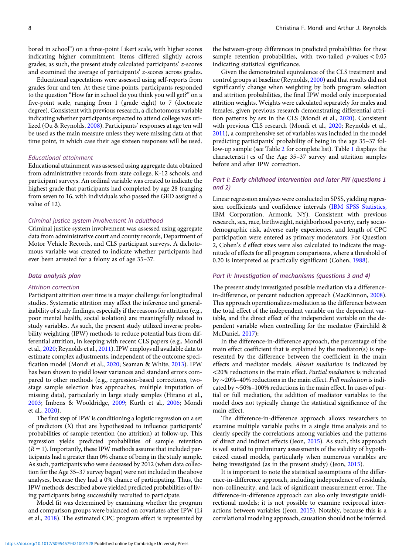bored in school") on a three-point Likert scale, with higher scores indicating higher commitment. Items differed slightly across grades; as such, the present study calculated participants' z-scores and examined the average of participants' z-scores across grades.

Educational expectations were assessed using self-reports from grades four and ten. At these time-points, participants responded to the question "How far in school do you think you will get?" on a five-point scale, ranging from 1 (grade eight) to 7 (doctorate degree). Consistent with previous research, a dichotomous variable indicating whether participants expected to attend college was utilized (Ou & Reynolds, [2008](#page-23-0)). Participants' responses at age ten will be used as the main measure unless they were missing data at that time point, in which case their age sixteen responses will be used.

#### Educational attainment

Educational attainment was assessed using aggregate data obtained from administrative records from state college, K-12 schools, and participant surveys. An ordinal variable was created to indicate the highest grade that participants had completed by age 28 (ranging from seven to 16, with individuals who passed the GED assigned a value of 12).

#### Criminal justice system involvement in adulthood

Criminal justice system involvement was assessed using aggregate data from administrative court and county records, Department of Motor Vehicle Records, and CLS participant surveys. A dichotomous variable was created to indicate whether participants had ever been arrested for a felony as of age 35–37.

#### Data analysis plan

### Attrition correction

Participant attrition over time is a major challenge for longitudinal studies. Systematic attrition may affect the inference and generalizability of study findings, especially if the reasons for attrition (e.g., poor mental health, social isolation) are meaningfully related to study variables. As such, the present study utilized inverse probability weighting (IPW) methods to reduce potential bias from differential attrition, in keeping with recent CLS papers (e.g., Mondi et al., [2020;](#page-23-0) Reynolds et al., [2011](#page-24-0)). IPW employs all available data to estimate complex adjustments, independent of the outcome specification model (Mondi et al., [2020;](#page-23-0) Seaman & White, [2013\)](#page-24-0). IPW has been shown to yield lower variances and standard errors compared to other methods (e.g., regression-based corrections, twostage sample selection bias approaches, multiple imputation of missing data), particularly in large study samples (Hirano et al., [2003;](#page-23-0) Imbens & Wooldridge, [2009](#page-23-0); Kurth et al., [2006](#page-23-0); Mondi et al., [2020\)](#page-23-0).

The first step of IPW is conditioning a logistic regression on a set of predictors (X) that are hypothesized to influence participants' probabilities of sample retention (no attrition) at follow-up. This regression yields predicted probabilities of sample retention  $(R = 1)$ . Importantly, these IPW methods assume that included participants had a greater than 0% chance of being in the study sample. As such, participants who were deceased by 2012 (when data collection for the Age 35–37 survey began) were not included in the above analyses, because they had a 0% chance of participating. Thus, the IPW methods described above yielded predicted probabilities of living participants being successfully recruited to participate.

Model fit was determined by examining whether the program and comparison groups were balanced on covariates after IPW (Li et al., [2018\)](#page-23-0). The estimated CPC program effect is represented by the between-group differences in predicted probabilities for these sample retention probabilities, with two-tailed  $p$ -values < 0.05 indicating statistical significance.

Given the demonstrated equivalence of the CLS treatment and control groups at baseline (Reynolds, [2000](#page-24-0)) and that results did not significantly change when weighting by both program selection and attrition probabilities, the final IPW model only incorporated attrition weights. Weights were calculated separately for males and females, given previous research demonstrating differential attrition patterns by sex in the CLS (Mondi et al., [2020](#page-23-0)). Consistent with previous CLS research (Mondi et al., [2020](#page-23-0); Reynolds et al., [2011\)](#page-24-0), a comprehensive set of variables was included in the model predicting participants' probability of being in the age 35–37 follow-up sample (see Table [2](#page-8-0) for complete list). Table [1](#page-5-0) displays the  $characteristic + cs$  of the Age 35–37 survey and attrition samples before and after IPW correction.

# Part I: Early childhood intervention and later PW (questions 1 and 2)

Linear regression analyses were conducted in SPSS, yielding regression coefficients and confidence intervals [\(IBM SPSS Statistics,](#page-23-0) IBM Corporation, Armonk, NY). Consistent with previous research, sex, race, birthweight, neighborhood poverty, early sociodemographic risk, adverse early experiences, and length of CPC participation were entered as primary moderators. For Question 2, Cohen's d effect sizes were also calculated to indicate the magnitude of effects for all program comparisons, where a threshold of 0.20 is interpreted as practically significant (Cohen, [1988](#page-22-0)).

#### Part II: Investigation of mechanisms (questions 3 and 4)

The present study investigated possible mediation via a differencein-difference, or percent reduction approach (MacKinnon, [2008](#page-23-0)). This approach operationalizes mediation as the difference between the total effect of the independent variable on the dependent variable, and the direct effect of the independent variable on the dependent variable when controlling for the mediator (Fairchild & McDaniel, [2017](#page-22-0)):

In the difference-in-difference approach, the percentage of the main effect coefficient that is explained by the mediator(s) is represented by the difference between the coefficient in the main effects and mediator models. Absent mediation is indicated by <20% reductions in the main effect. Partial mediation is indicated by ∼20%–40% reductions in the main effect. Full mediation is indicated by ∼50%–100% reductions in the main effect. In cases of partial or full mediation, the addition of mediator variables to the model does not typically change the statistical significance of the main effect.

The difference-in-difference approach allows researchers to examine multiple variable paths in a single time analysis and to clearly specify the correlations among variables and the patterns of direct and indirect effects (Jeon, [2015](#page-23-0)). As such, this approach is well suited to preliminary assessments of the validity of hypothesized causal models, particularly when numerous variables are being investigated (as in the present study) (Jeon, [2015\)](#page-23-0).

It is important to note the statistical assumptions of the difference-in-difference approach, including independence of residuals, non-collinearity, and lack of significant measurement error. The difference-in-difference approach can also only investigate unidirectional models; it is not possible to examine reciprocal interactions between variables (Jeon. [2015\)](#page-23-0). Notably, because this is a correlational modeling approach, causation should not be inferred.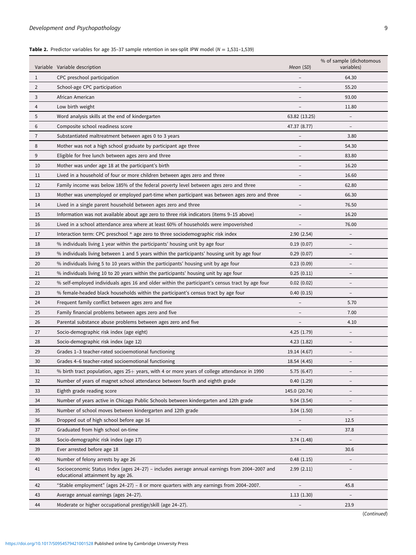# <span id="page-8-0"></span>**Table 2.** Predictor variables for age 35-37 sample retention in sex-split IPW model ( $N = 1,531-1,539$ )

|    | Variable Variable description                                                                                                      | Mean (SD)                | % of sample (dichotomous<br>variables) |
|----|------------------------------------------------------------------------------------------------------------------------------------|--------------------------|----------------------------------------|
| 1  | CPC preschool participation                                                                                                        |                          | 64.30                                  |
| 2  | School-age CPC participation                                                                                                       |                          | 55.20                                  |
| 3  | African American                                                                                                                   |                          | 93.00                                  |
| 4  | Low birth weight                                                                                                                   |                          | 11.80                                  |
| 5  | Word analysis skills at the end of kindergarten                                                                                    | 63.82 (13.25)            |                                        |
| 6  | Composite school readiness score                                                                                                   | 47.37 (8.77)             |                                        |
| 7  | Substantiated maltreatment between ages 0 to 3 years                                                                               |                          | 3.80                                   |
| 8  | Mother was not a high school graduate by participant age three                                                                     |                          | 54.30                                  |
| 9  | Eligible for free lunch between ages zero and three                                                                                |                          | 83.80                                  |
| 10 | Mother was under age 18 at the participant's birth                                                                                 | $\qquad \qquad$          | 16.20                                  |
| 11 | Lived in a household of four or more children between ages zero and three                                                          | $\overline{\phantom{0}}$ | 16.60                                  |
| 12 | Family income was below 185% of the federal poverty level between ages zero and three                                              |                          | 62.80                                  |
| 13 | Mother was unemployed or employed part-time when participant was between ages zero and three                                       | $\qquad \qquad -$        | 66.30                                  |
| 14 | Lived in a single parent household between ages zero and three                                                                     | $\overline{\phantom{0}}$ | 76.50                                  |
| 15 | Information was not available about age zero to three risk indicators (items 9–15 above)                                           |                          | 16.20                                  |
| 16 | Lived in a school attendance area where at least 60% of households were impoverished                                               |                          | 76.00                                  |
| 17 | Interaction term: CPC preschool * age zero to three sociodemographic risk index                                                    | 2.90(2.54)               |                                        |
| 18 | % individuals living 1 year within the participants' housing unit by age four                                                      | 0.19(0.07)               |                                        |
| 19 | % individuals living between 1 and 5 years within the participants' housing unit by age four                                       | 0.29(0.07)               |                                        |
|    |                                                                                                                                    |                          |                                        |
| 20 | % individuals living 5 to 10 years within the participants' housing unit by age four                                               | 0.23(0.09)               |                                        |
| 21 | % individuals living 10 to 20 years within the participants' housing unit by age four                                              | 0.25(0.11)               |                                        |
| 22 | % self-employed individuals ages 16 and older within the participant's census tract by age four                                    | 0.02(0.02)               | $\overline{\phantom{m}}$               |
| 23 | % female-headed black households within the participant's census tract by age four                                                 | 0.40(0.15)               | $\overline{\phantom{a}}$               |
| 24 | Frequent family conflict between ages zero and five                                                                                |                          | 5.70                                   |
| 25 | Family financial problems between ages zero and five                                                                               |                          | 7.00                                   |
| 26 | Parental substance abuse problems between ages zero and five                                                                       |                          | 4.10                                   |
| 27 | Socio-demographic risk index (age eight)                                                                                           | 4.25(1.79)               |                                        |
| 28 | Socio-demographic risk index (age 12)                                                                                              | 4.23(1.82)               | $\overline{\phantom{m}}$               |
| 29 | Grades 1-3 teacher-rated socioemotional functioning                                                                                | 19.14 (4.67)             |                                        |
| 30 | Grades 4-6 teacher-rated socioemotional functioning                                                                                | 18.54 (4.45)             |                                        |
| 31 | % birth tract population, ages 25+ years, with 4 or more years of college attendance in 1990                                       | 5.75 (6.47)              |                                        |
| 32 | Number of years of magnet school attendance between fourth and eighth grade                                                        | 0.40(1.29)               | $\qquad \qquad -$                      |
| 33 | Eighth grade reading score                                                                                                         | 145.0 (20.74)            |                                        |
| 34 | Number of years active in Chicago Public Schools between kindergarten and 12th grade                                               | 9.04(3.54)               |                                        |
| 35 | Number of school moves between kindergarten and 12th grade                                                                         | 3.04(1.50)               |                                        |
| 36 | Dropped out of high school before age 16                                                                                           |                          | 12.5                                   |
| 37 | Graduated from high school on-time                                                                                                 |                          | 37.8                                   |
| 38 | Socio-demographic risk index (age 17)                                                                                              | 3.74(1.48)               | $\overline{\phantom{a}}$               |
| 39 | Ever arrested before age 18                                                                                                        |                          | 30.6                                   |
| 40 | Number of felony arrests by age 26                                                                                                 | 0.48(1.15)               |                                        |
| 41 | Socioeconomic Status Index (ages 24-27) - includes average annual earnings from 2004-2007 and<br>educational attainment by age 26. | 2.99(2.11)               |                                        |
| 42 | "Stable employment" (ages 24-27) - 8 or more quarters with any earnings from 2004-2007.                                            |                          | 45.8                                   |
| 43 | Average annual earnings (ages 24-27).                                                                                              | 1.13(1.30)               | $\overline{\phantom{a}}$               |
| 44 | Moderate or higher occupational prestige/skill (age 24-27).                                                                        |                          | 23.9                                   |
|    |                                                                                                                                    |                          | (Continued)                            |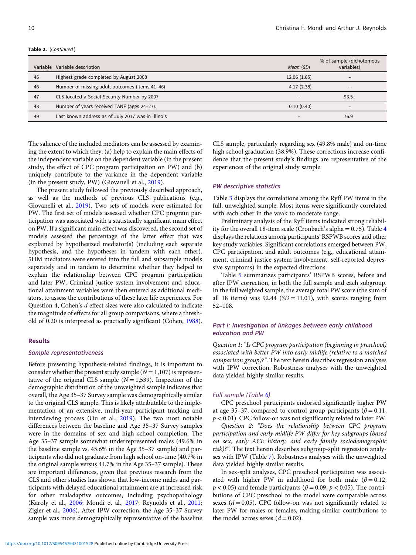|    | Variable Variable description                      | Mean (SD)                | % of sample (dichotomous<br>variables) |
|----|----------------------------------------------------|--------------------------|----------------------------------------|
| 45 | Highest grade completed by August 2008             | 12.06 (1.65)             |                                        |
| 46 | Number of missing adult outcomes (items 41-46)     | 4.17(2.38)               | -                                      |
| 47 | CLS located a Social Security Number by 2007       | $\overline{\phantom{a}}$ | 93.5                                   |
| 48 | Number of years received TANF (ages 24-27).        | 0.10(0.40)               |                                        |
| 49 | Last known address as of July 2017 was in Illinois | $\qquad \qquad -$        | 76.9                                   |

The salience of the included mediators can be assessed by examining the extent to which they: (a) help to explain the main effects of the independent variable on the dependent variable (in the present study, the effect of CPC program participation on PW) and (b) uniquely contribute to the variance in the dependent variable (in the present study, PW) (Giovanell et al., [2019\)](#page-22-0).

The present study followed the previously described approach, as well as the methods of previous CLS publications (e.g., Giovanelli et al., [2019\)](#page-22-0). Two sets of models were estimated for PW. The first set of models assessed whether CPC program participation was associated with a statistically significant main effect on PW. If a significant main effect was discovered, the second set of models assessed the percentage of the latter effect that was explained by hypothesized mediator(s) (including each separate hypothesis, and the hypotheses in tandem with each other). 5HM mediators were entered into the full and subsample models separately and in tandem to determine whether they helped to explain the relationship between CPC program participation and later PW. Criminal justice system involvement and educational attainment variables were then entered as additional mediators, to assess the contributions of these later life experiences. For Question 4, Cohen's d effect sizes were also calculated to indicate the magnitude of effects for all group comparisons, where a threshold of 0.20 is interpreted as practically significant (Cohen, [1988](#page-22-0)).

#### Results

#### Sample representativeness

Before presenting hypothesis-related findings, it is important to consider whether the present study sample  $(N = 1,107)$  is representative of the original CLS sample  $(N = 1,539)$ . Inspection of the demographic distribution of the unweighted sample indicates that overall, the Age 35–37 Survey sample was demographically similar to the original CLS sample. This is likely attributable to the implementation of an extensive, multi-year participant tracking and interviewing process (Ou et al., [2019\)](#page-23-0). The two most notable differences between the baseline and Age 35–37 Survey samples were in the domains of sex and high school completion. The Age 35–37 sample somewhat underrepresented males (49.6% in the baseline sample vs. 45.6% in the Age 35–37 sample) and participants who did not graduate from high school on-time (40.7% in the original sample versus 44.7% in the Age 35–37 sample). These are important differences, given that previous research from the CLS and other studies has shown that low-income males and participants with delayed educational attainment are at increased risk for other maladaptive outcomes, including psychopathology (Karoly et al., [2006;](#page-23-0) Mondi et al., [2017;](#page-23-0) Reynolds et al., [2011](#page-24-0); Zigler et al., [2006](#page-25-0)). After IPW correction, the Age 35–37 Survey sample was more demographically representative of the baseline

CLS sample, particularly regarding sex (49.8% male) and on-time high school graduation (38.9%). These corrections increase confidence that the present study's findings are representative of the experiences of the original study sample.

# PW descriptive statistics

Table [3](#page-10-0) displays the correlations among the Ryff PW items in the full, unweighted sample. Most items were significantly correlated with each other in the weak to moderate range.

Preliminary analysis of the Ryff items indicated strong reliability for the overall 18-item scale (Cronbach's alpha  $= 0.75$ ). Table [4](#page-11-0) displays the relations among participants' RSPWB scores and other key study variables. Significant correlations emerged between PW, CPC participation, and adult outcomes (e.g., educational attainment, criminal justice system involvement, self-reported depressive symptoms) in the expected directions.

Table [5](#page-12-0) summarizes participants' RSPWB scores, before and after IPW correction, in both the full sample and each subgroup. In the full weighted sample, the average total PW score (the sum of all 18 items) was  $92.44$  (SD = 11.01), with scores ranging from 52–108.

# Part I: Investigation of linkages between early childhood education and PW

Question 1: "Is CPC program participation (beginning in preschool) associated with better PW into early midlife (relative to a matched comparison group)?". The text herein describes regression analyses with IPW correction. Robustness analyses with the unweighted data yielded highly similar results.

#### Full sample (Table [6](#page-13-0))

CPC preschool participants endorsed significantly higher PW at age 35–37, compared to control group participants ( $\beta$  = 0.11,  $p < 0.01$ ). CPC follow-on was not significantly related to later PW.

Question 2: "Does the relationship between CPC program participation and early midlife PW differ for key subgroups (based on sex, early ACE history, and early family sociodemographic risk)?". The text herein describes subgroup-split regression analyses with IPW (Table [7\)](#page-14-0). Robustness analyses with the unweighted data yielded highly similar results.

In sex-split analyses, CPC preschool participation was associated with higher PW in adulthood for both male ( $\beta = 0.12$ ,  $p < 0.05$ ) and female participants ( $\beta = 0.09$ ,  $p < 0.05$ ). The contributions of CPC preschool to the model were comparable across sexes  $(d = 0.05)$ . CPC follow-on was not significantly related to later PW for males or females, making similar contributions to the model across sexes  $(d = 0.02)$ .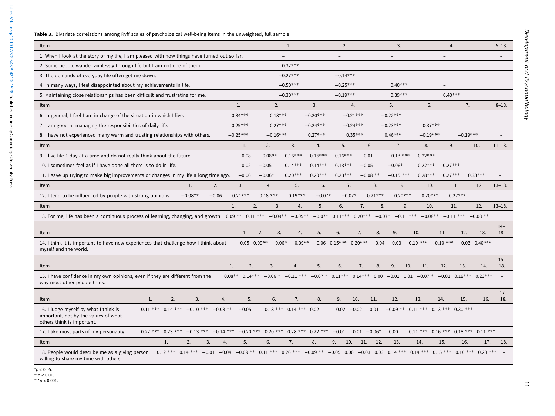| ıtions<br>L, |
|--------------|
| ۴            |
| tory o       |
| r aiml       |
| ryday        |
| disap        |
| ations       |
|              |
| n in cl      |
| ing th       |
| ed ma        |
|              |
| ime a        |

Table 3. Bivariate correlation s among Ryff scales of psychological well-being items in the unweighted, full sample

| Item                                                                                                                                                                                                                           |                                                                                            |    |           |         |    |                |            | 1.                           |    |                                                                                                                           | 2.         |              |                | 3.                                          |     |            |                   | 4.              |                                             | $5 - 18.$     |
|--------------------------------------------------------------------------------------------------------------------------------------------------------------------------------------------------------------------------------|--------------------------------------------------------------------------------------------|----|-----------|---------|----|----------------|------------|------------------------------|----|---------------------------------------------------------------------------------------------------------------------------|------------|--------------|----------------|---------------------------------------------|-----|------------|-------------------|-----------------|---------------------------------------------|---------------|
| 1. When I look at the story of my life, I am pleased with how things have turned out so far.                                                                                                                                   |                                                                                            |    |           |         |    |                |            |                              |    |                                                                                                                           |            |              |                |                                             |     |            |                   |                 |                                             |               |
| 2. Some people wander aimlessly through life but I am not one of them.                                                                                                                                                         |                                                                                            |    |           |         |    |                |            | $0.32***$                    |    |                                                                                                                           |            |              |                |                                             |     |            |                   |                 |                                             |               |
| 3. The demands of everyday life often get me down.                                                                                                                                                                             |                                                                                            |    |           |         |    |                |            | $-0.27***$                   |    |                                                                                                                           | $-0.14***$ |              |                | $\overline{\phantom{0}}$                    |     |            | $\qquad \qquad -$ |                 |                                             |               |
| 4. In many ways, I feel disappointed about my achievements in life.                                                                                                                                                            |                                                                                            |    |           |         |    |                |            | $-0.50***$                   |    |                                                                                                                           | $-0.25***$ |              |                | $0.40***$                                   |     |            |                   |                 |                                             |               |
| 5. Maintaining close relationships has been difficult and frustrating for me.                                                                                                                                                  |                                                                                            |    |           |         |    |                |            | $-0.30***$                   |    |                                                                                                                           | $-0.19***$ |              |                | $0.39***$                                   |     |            |                   | $0.40***$       |                                             |               |
| Item                                                                                                                                                                                                                           |                                                                                            |    |           |         |    | $\mathbf{1}$ . | 2.         |                              |    | 3.                                                                                                                        |            | 4.           |                | 5.                                          |     | 6.         |                   | 7.              |                                             | $8 - 18.$     |
| 6. In general, I feel I am in charge of the situation in which I live.                                                                                                                                                         |                                                                                            |    |           |         |    | $0.34***$      |            | $0.18***$                    |    | $-0.20***$                                                                                                                |            | $-0.21***$   |                | $-0.22***$                                  |     |            |                   |                 |                                             |               |
| 7. I am good at managing the responsibilities of daily life.                                                                                                                                                                   |                                                                                            |    |           |         |    | $0.29***$      |            | $0.27***$                    |    | $-0.24***$                                                                                                                |            | $-0.24***$   |                | $-0.23***$                                  |     | $0.37***$  |                   |                 |                                             |               |
| 8. I have not experienced many warm and trusting relationships with others.                                                                                                                                                    |                                                                                            |    |           |         |    | $-0.25***$     | $-0.16***$ |                              |    | $0.27***$                                                                                                                 |            | $0.35***$    |                | $0.46***$                                   |     | $-0.19***$ |                   | $-0.19***$      |                                             |               |
| Item                                                                                                                                                                                                                           |                                                                                            |    |           |         |    | 1.             | 2.         | 3.                           |    | 4.                                                                                                                        | 5.         |              | 6.             | 7.                                          |     | 8.         | 9.                |                 | 10.                                         | $11 - 18.$    |
| 9. I live life 1 day at a time and do not really think about the future.                                                                                                                                                       |                                                                                            |    |           |         |    | $-0.08$        | $-0.08**$  | $0.16***$                    |    | $0.16***$                                                                                                                 | $0.16***$  |              | $-0.01$        | $-0.13$ ***                                 |     | $0.22***$  |                   |                 |                                             |               |
| 10. I sometimes feel as if I have done all there is to do in life.                                                                                                                                                             |                                                                                            |    |           |         |    | 0.02           | $-0.05$    | $0.14***$                    |    | $0.14***$                                                                                                                 | $0.13***$  |              | $-0.05$        | $-0.06*$                                    |     | $0.22***$  | $0.27***$         |                 |                                             |               |
| 11. I gave up trying to make big improvements or changes in my life a long time ago.                                                                                                                                           |                                                                                            |    |           |         |    | $-0.06$        | $-0.06*$   | $0.20***$                    |    | $0.20***$                                                                                                                 | $0.23***$  |              | $-0.08$ **     | $-0.15$ ***                                 |     | $0.28***$  |                   | $0.27***$       | $0.33***$                                   |               |
| Item                                                                                                                                                                                                                           |                                                                                            |    | 1.        | 2.      |    | 3.             | 4.         |                              | 5. | 6.                                                                                                                        |            | 7.           | 8.             | 9.                                          |     | 10.        |                   | 11.             | 12.                                         | $13 - 18$ .   |
| 12. I tend to be influenced by people with strong opinions.                                                                                                                                                                    |                                                                                            |    | $-0.08**$ | $-0.06$ |    | $0.21***$      | $0.18$ *** | $0.19***$                    |    | $-0.07*$                                                                                                                  |            | $-0.07*$     | $0.21***$      | $0.20***$                                   |     | $0.20***$  |                   | $0.27***$       |                                             |               |
| Item                                                                                                                                                                                                                           |                                                                                            |    |           |         | 1. | 2.             |            | 3.                           | 4. | 5.                                                                                                                        | 6.         |              | 7.             | 8.                                          | 9.  | 10.        |                   | 11.             | 12.                                         | $13 - 18.$    |
| 13. For me, life has been a continuous process of learning, changing, and growth. 0.09 ** 0.11 *** -0.09 ** -0.09 ** -0.07 * 0.11 *** 0.20 *** -0.07 * -0.11 *** -0.08 ** -0.11 *** -0.08 **                                   |                                                                                            |    |           |         |    |                |            |                              |    |                                                                                                                           |            |              |                |                                             |     |            |                   |                 |                                             |               |
|                                                                                                                                                                                                                                |                                                                                            |    |           |         |    |                |            |                              |    |                                                                                                                           |            |              |                |                                             |     |            |                   |                 |                                             | $14-$         |
| Item                                                                                                                                                                                                                           |                                                                                            |    |           |         |    | 1.             | 2.         | 3.                           | 4. | 5.                                                                                                                        | 6.         | 7.           | 8.             | 9.                                          | 10. |            | 11.               | 12.             | 13.                                         | 18.           |
| 14. I think it is important to have new experiences that challenge how I think about<br>myself and the world.                                                                                                                  |                                                                                            |    |           |         |    |                |            |                              |    | $0.05$ $0.09**$ $-0.06*$ $-0.09**$ $-0.06$ $0.15***$ $0.20***$ $-0.04$ $-0.03$ $-0.10$ *** $-0.10$ *** $-0.03$ $0.40**$ * |            |              |                |                                             |     |            |                   |                 |                                             |               |
|                                                                                                                                                                                                                                |                                                                                            |    |           |         | 1. | 2.             | 3.         | 4.                           |    | 5.                                                                                                                        | 6.         | 7.           | 8.             | 9.                                          | 10. | 11.        | 12.               | 13.             | 14.                                         | $15 -$<br>18. |
| Item                                                                                                                                                                                                                           |                                                                                            |    |           |         |    |                |            |                              |    |                                                                                                                           |            |              |                |                                             |     |            |                   |                 | $0.23***$                                   |               |
| 15. I have confidence in my own opinions, even if they are different from the<br>way most other people think.                                                                                                                  |                                                                                            |    |           |         |    |                |            |                              |    | $0.08**$ $0.14***$ $-0.06*$ $-0.11***$ $-0.07*$ $0.11***$ $0.14***$ $0.00$ $-0.01$ $0.01$ $-0.07*$                        |            |              |                |                                             |     |            |                   | $-0.01$ 0.19*** |                                             |               |
| Item                                                                                                                                                                                                                           | 1.                                                                                         | 2. | 3.        |         | 4. | 5.             | 6.         | 7.                           |    | 8.                                                                                                                        | 9.         | 10.          | 11.            | 12.                                         | 13. |            | 14.               | 15.             | 16.                                         | $17-$<br>18.  |
| 16. I judge myself by what I think is<br>important, not by the values of what<br>others think is important.                                                                                                                    | $0.11$ *** $0.14$ *** $-0.10$ *** $-0.08$ **                                               |    |           |         |    | $-0.05$        |            | $0.18$ *** $0.14$ *** $0.02$ |    |                                                                                                                           |            | $0.02 -0.02$ | 0.01           | $-0.09$ ** $0.11$ *** $0.13$ *** $0.30$ *** |     |            |                   |                 |                                             |               |
| 17. I like most parts of my personality.                                                                                                                                                                                       | $0.22$ *** $0.23$ *** $-0.13$ *** $-0.14$ *** $-0.20$ *** $0.20$ *** $0.28$ *** $0.22$ *** |    |           |         |    |                |            |                              |    |                                                                                                                           | $-0.01$    |              | $0.01 - 0.06*$ | 0.00                                        |     |            |                   |                 | $0.11$ *** $0.16$ *** $0.18$ *** $0.11$ *** |               |
| Item                                                                                                                                                                                                                           | $\mathbf{1}$ .                                                                             |    | 2.        | 3.      | 4. | 5.             | 6.         | 7.                           |    | 8.                                                                                                                        | 9.         | 10.          | 11.<br>12.     | 13.                                         |     | 14.        | 15.               | 16.             | 17.                                         | 18.           |
| 18. People would describe me as a giving person, 0.12 *** 0.14 *** -0.01 -0.04 -0.09 ** 0.11 *** 0.26 *** -0.09 ** -0.05 0.00 -0.03 0.03 0.14 *** 0.14 *** 0.15 *** 0.10 *** 0.23 ***<br>willing to share my time with others. |                                                                                            |    |           |         |    |                |            |                              |    |                                                                                                                           |            |              |                |                                             |     |            |                   |                 |                                             |               |

 $*p < 0.05$ .<br>\*\*p  $< 0.01$ .

<span id="page-10-0"></span>https://doi.org/10.1017/S0954579421001528 Published online by Cambridge University Press <https://doi.org/10.1017/S0954579421001528>Published online by Cambridge University Press

\*\*\**p* < 0.001.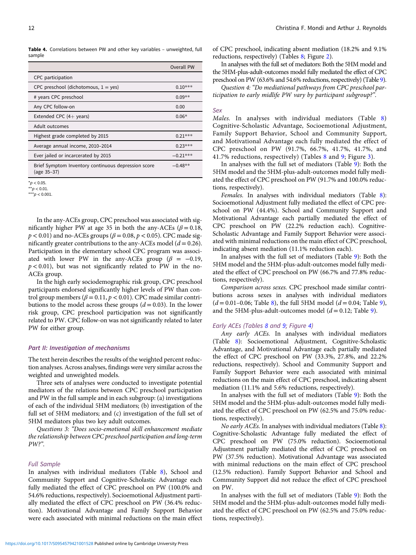<span id="page-11-0"></span>Table 4. Correlations between PW and other key variables - unweighted, full sample

|                                                                    | Overall PW |
|--------------------------------------------------------------------|------------|
| CPC participation                                                  |            |
| CPC preschool (dichotomous, $1 = yes$ )                            | $0.10***$  |
| # years CPC preschool                                              | $0.09**$   |
| Any CPC follow-on                                                  | 0.00       |
| Extended CPC $(4 + \text{years})$                                  | $0.06*$    |
| Adult outcomes                                                     |            |
| Highest grade completed by 2015                                    | $0.21***$  |
| Average annual income, 2010-2014                                   | $0.23***$  |
| Ever jailed or incarcerated by 2015                                | $-0.21***$ |
| Brief Symptom Inventory continuous depression score<br>(age 35–37) | $-0.48**$  |

 $*_{D}$  < 0.05

 $*p < 0.01$ . \*\*\* $p < 0.001$ .

In the any-ACEs group, CPC preschool was associated with significantly higher PW at age 35 in both the any-ACEs ( $\beta$  = 0.18,  $p < 0.01$ ) and no-ACEs groups ( $\beta = 0.08$ ,  $p < 0.05$ ). CPC made significantly greater contributions to the any-ACEs model  $(d = 0.26)$ . Participation in the elementary school CPC program was associated with lower PW in the any-ACEs group ( $\beta = -0.19$ ,  $p < 0.01$ ), but was not significantly related to PW in the no-ACEs group.

In the high early sociodemographic risk group, CPC preschool participants endorsed significantly higher levels of PW than control group members ( $\beta$  = 0.11,  $p$  < 0.01). CPC made similar contributions to the model across these groups  $(d = 0.03)$ . In the lower risk group, CPC preschool participation was not significantly related to PW. CPC follow-on was not significantly related to later PW for either group.

# Part II: Investigation of mechanisms

The text herein describes the results of the weighted percent reduction analyses. Across analyses, findings were very similar across the weighted and unweighted models.

Three sets of analyses were conducted to investigate potential mediators of the relations between CPC preschool participation and PW in the full sample and in each subgroup: (a) investigations of each of the individual 5HM mediators; (b) investigation of the full set of 5HM mediators; and (c) investigation of the full set of 5HM mediators plus two key adult outcomes.

Questions 3: "Does socio-emotional skill enhancement mediate the relationship between CPC preschool participation and long-term PW?".

# Full Sample

In analyses with individual mediators (Table [8\)](#page-15-0), School and Community Support and Cognitive-Scholastic Advantage each fully mediated the effect of CPC preschool on PW (100.0% and 54.6% reductions, respectively). Socioemotional Adjustment partially mediated the effect of CPC preschool on PW (36.4% reduction). Motivational Advantage and Family Support Behavior were each associated with minimal reductions on the main effect of CPC preschool, indicating absent mediation (18.2% and 9.1% reductions, respectively) (Tables [8](#page-15-0); Figure [2\)](#page-17-0).

In analyses with the full set of mediators: Both the 5HM model and the 5HM-plus-adult-outcomes model fully mediated the effect of CPC preschool on PW (63.6% and 54.6% reductions, respectively) (Table [9](#page-16-0)).

Question 4: "Do mediational pathways from CPC preschool participation to early midlife PW vary by participant subgroup?".

#### Sex

Males. In analyses with individual mediators (Table [8](#page-15-0)) Cognitive-Scholastic Advantage, Socioemotional Adjustment, Family Support Behavior, School and Community Support, and Motivational Advantage each fully mediated the effect of CPC preschool on PW (91.7%, 66.7%, 41.7%, 41.7%, and 41.7% reductions, respectively) (Tables [8](#page-15-0) and [9](#page-16-0); Figure [3](#page-17-0)).

In analyses with the full set of mediators (Table [9](#page-16-0)): Both the 5HM model and the 5HM-plus-adult-outcomes model fully mediated the effect of CPC preschool on PW (91.7% and 100.0% reductions, respectively).

Females. In analyses with individual mediators (Table [8](#page-15-0)): Socioemotional Adjustment fully mediated the effect of CPC preschool on PW (44.4%). School and Community Support and Motivational Advantage each partially mediated the effect of CPC preschool on PW (22.2% reduction each). Cognitive-Scholastic Advantage and Family Support Behavior were associated with minimal reductions on the main effect of CPC preschool, indicating absent mediation (11.1% reduction each).

In analyses with the full set of mediators (Table [9](#page-16-0)): Both the 5HM model and the 5HM-plus-adult-outcomes model fully mediated the effect of CPC preschool on PW (66.7% and 77.8% reductions, respectively).

Comparison across sexes. CPC preschool made similar contributions across sexes in analyses with individual mediators  $(d = 0.01 - 0.06;$  Table [8\)](#page-15-0), the full 5HM model  $(d = 0.04;$  Table [9](#page-16-0)), and the 5HM-plus-adult-outcomes model  $(d = 0.12;$  Table [9](#page-16-0)).

# Early ACEs (Tables [8](#page-15-0) and [9](#page-16-0); Figure [4\)](#page-18-0)

Any early ACEs. In analyses with individual mediators (Table [8](#page-15-0)): Socioemotional Adjustment, Cognitive-Scholastic Advantage, and Motivational Advantage each partially mediated the effect of CPC preschool on PW (33.3%, 27.8%, and 22.2% reductions, respectively). School and Community Support and Family Support Behavior were each associated with minimal reductions on the main effect of CPC preschool, indicating absent mediation (11.1% and 5.6% reductions, respectively).

In analyses with the full set of mediators (Table [9](#page-16-0)): Both the 5HM model and the 5HM-plus-adult-outcomes model fully mediated the effect of CPC preschool on PW (62.5% and 75.0% reductions, respectively).

No early ACEs. In analyses with individual mediators (Table [8](#page-15-0)): Cognitive-Scholastic Advantage fully mediated the effect of CPC preschool on PW (75.0% reduction). Socioemotional Adjustment partially mediated the effect of CPC preschool on PW (37.5% reduction). Motivational Advantage was associated with minimal reductions on the main effect of CPC preschool (12.5% reduction). Family Support Behavior and School and Community Support did not reduce the effect of CPC preschool on PW.

In analyses with the full set of mediators (Table [9](#page-16-0)): Both the 5HM model and the 5HM-plus-adult-outcomes model fully mediated the effect of CPC preschool on PW (62.5% and 75.0% reductions, respectively).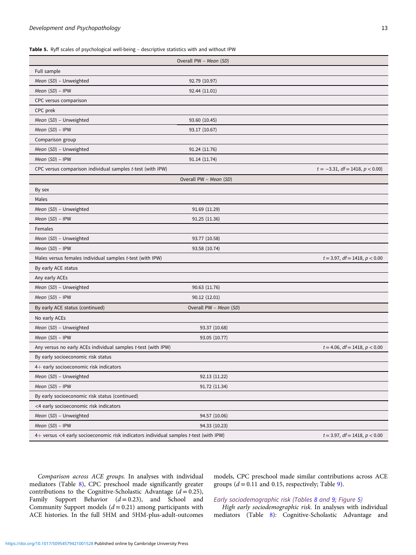<span id="page-12-0"></span>Table 5. Ryff scales of psychological well-being - descriptive statistics with and without IPW

|                                                                                       | Overall PW - Mean (SD) |                                       |  |  |  |  |  |  |
|---------------------------------------------------------------------------------------|------------------------|---------------------------------------|--|--|--|--|--|--|
| Full sample                                                                           |                        |                                       |  |  |  |  |  |  |
| Mean (SD) - Unweighted                                                                | 92.79 (10.97)          |                                       |  |  |  |  |  |  |
| Mean (SD) - IPW                                                                       | 92.44 (11.01)          |                                       |  |  |  |  |  |  |
| CPC versus comparison                                                                 |                        |                                       |  |  |  |  |  |  |
| CPC prek                                                                              |                        |                                       |  |  |  |  |  |  |
| Mean (SD) - Unweighted                                                                | 93.60 (10.45)          |                                       |  |  |  |  |  |  |
| Mean $(SD)$ - IPW                                                                     | 93.17 (10.67)          |                                       |  |  |  |  |  |  |
| Comparison group                                                                      |                        |                                       |  |  |  |  |  |  |
| Mean (SD) - Unweighted                                                                | 91.24 (11.76)          |                                       |  |  |  |  |  |  |
| Mean (SD) - IPW                                                                       | 91.14 (11.74)          |                                       |  |  |  |  |  |  |
| CPC versus comparison individual samples t-test (with IPW)                            |                        | $t = -3.31, df = 1418, p < 0.00$      |  |  |  |  |  |  |
| Overall PW - Mean (SD)                                                                |                        |                                       |  |  |  |  |  |  |
| By sex                                                                                |                        |                                       |  |  |  |  |  |  |
| Males                                                                                 |                        |                                       |  |  |  |  |  |  |
| Mean (SD) - Unweighted                                                                | 91.69 (11.29)          |                                       |  |  |  |  |  |  |
| Mean (SD) - IPW                                                                       | 91.25 (11.36)          |                                       |  |  |  |  |  |  |
| Females                                                                               |                        |                                       |  |  |  |  |  |  |
| Mean (SD) - Unweighted                                                                | 93.77 (10.58)          |                                       |  |  |  |  |  |  |
| Mean (SD) - IPW                                                                       | 93.58 (10.74)          |                                       |  |  |  |  |  |  |
| Males versus females individual samples t-test (with IPW)                             |                        | $t = 3.97$ , $df = 1418$ , $p < 0.00$ |  |  |  |  |  |  |
| By early ACE status                                                                   |                        |                                       |  |  |  |  |  |  |
| Any early ACEs                                                                        |                        |                                       |  |  |  |  |  |  |
| Mean (SD) - Unweighted                                                                | 90.63 (11.76)          |                                       |  |  |  |  |  |  |
| Mean (SD) - IPW                                                                       | 90.12 (12.01)          |                                       |  |  |  |  |  |  |
| By early ACE status (continued)                                                       | Overall PW - Mean (SD) |                                       |  |  |  |  |  |  |
| No early ACEs                                                                         |                        |                                       |  |  |  |  |  |  |
| Mean (SD) - Unweighted                                                                | 93.37 (10.68)          |                                       |  |  |  |  |  |  |
| Mean (SD) - IPW                                                                       | 93.05 (10.77)          |                                       |  |  |  |  |  |  |
| Any versus no early ACEs individual samples t-test (with IPW)                         |                        | $t = 4.06$ , $df = 1418$ , $p < 0.00$ |  |  |  |  |  |  |
| By early socioeconomic risk status                                                    |                        |                                       |  |  |  |  |  |  |
| 4+ early socioeconomic risk indicators                                                |                        |                                       |  |  |  |  |  |  |
| Mean (SD) - Unweighted                                                                | 92.13 (11.22)          |                                       |  |  |  |  |  |  |
| Mean $(SD)$ - IPW                                                                     | 91.72 (11.34)          |                                       |  |  |  |  |  |  |
| By early socioeconomic risk status (continued)                                        |                        |                                       |  |  |  |  |  |  |
| <4 early socioeconomic risk indicators                                                |                        |                                       |  |  |  |  |  |  |
| Mean (SD) - Unweighted                                                                | 94.57 (10.06)          |                                       |  |  |  |  |  |  |
| Mean $(SD)$ – IPW                                                                     | 94.33 (10.23)          |                                       |  |  |  |  |  |  |
| 4+ versus <4 early socioeconomic risk indicators individual samples t-test (with IPW) |                        | $t = 3.97$ , $df = 1418$ , $p < 0.00$ |  |  |  |  |  |  |

Comparison across ACE groups. In analyses with individual mediators (Table [8](#page-15-0)), CPC preschool made significantly greater contributions to the Cognitive-Scholastic Advantage  $(d = 0.25)$ , Family Support Behavior  $(d=0.23)$ , and School and Community Support models  $(d = 0.21)$  among participants with ACE histories. In the full 5HM and 5HM-plus-adult-outcomes

models, CPC preschool made similar contributions across ACE groups  $(d = 0.11$  and 0.15, respectively; Table [9](#page-16-0)).

# Early sociodemographic risk (Tables [8](#page-15-0) and [9;](#page-16-0) Figure [5](#page-18-0))

High early sociodemographic risk. In analyses with individual mediators (Table [8\)](#page-15-0): Cognitive-Scholastic Advantage and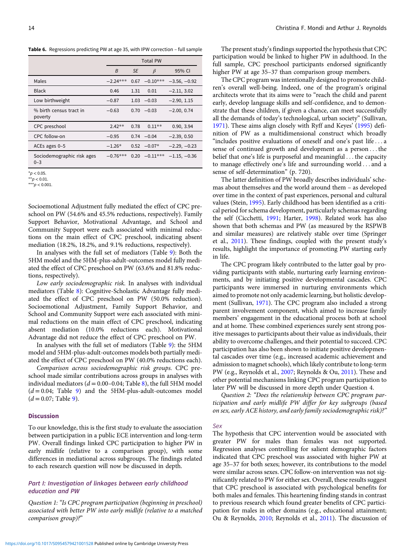<span id="page-13-0"></span>Table 6. Regressions predicting PW at age 35, with IPW correction – full sample

|                                       | <b>Total PW</b> |      |               |                |  |  |  |  |  |
|---------------------------------------|-----------------|------|---------------|----------------|--|--|--|--|--|
|                                       | B               | SE   | $\beta$       | 95% CI         |  |  |  |  |  |
| Males                                 | $-2.24***$      | 0.67 | $-0.10***$    | $-3.56, -0.92$ |  |  |  |  |  |
| <b>Black</b>                          | 0.46            | 1.31 | 0.01          | $-2.11, 3.02$  |  |  |  |  |  |
| Low birthweight                       | $-0.87$         | 1.03 | $-0.03$       | $-2.90, 1.15$  |  |  |  |  |  |
| % birth census tract in<br>poverty    | $-0.63$         | 0.70 | $-0.03$       | $-2.00, 0.74$  |  |  |  |  |  |
| CPC preschool                         | $2.42**$        | 0.78 | $0.11**$      | 0.90, 3.94     |  |  |  |  |  |
| CPC follow-on                         | $-0.95$         |      | $0.74 - 0.04$ | $-2.39, 0.50$  |  |  |  |  |  |
| ACEs ages 0-5                         | $-1.26*$        | 0.52 | $-0.07*$      | $-2.29, -0.23$ |  |  |  |  |  |
| Sociodemographic risk ages<br>$0 - 3$ | $-0.76***$      | 0.20 | $-0.11***$    | $-1.15, -0.36$ |  |  |  |  |  |

 $*p < 0.05$ .

\*\*\* $p < 0.001$ .

Socioemotional Adjustment fully mediated the effect of CPC preschool on PW (54.6% and 45.5% reductions, respectively). Family Support Behavior, Motivational Advantage, and School and Community Support were each associated with minimal reductions on the main effect of CPC preschool, indicating absent mediation (18.2%, 18.2%, and 9.1% reductions, respectively).

In analyses with the full set of mediators (Table [9](#page-16-0)): Both the 5HM model and the 5HM-plus-adult-outcomes model fully mediated the effect of CPC preschool on PW (63.6% and 81.8% reductions, respectively).

Low early sociodemographic risk. In analyses with individual mediators (Table [8\)](#page-15-0): Cognitive-Scholastic Advantage fully mediated the effect of CPC preschool on PW (50.0% reduction). Socioemotional Adjustment, Family Support Behavior, and School and Community Support were each associated with minimal reductions on the main effect of CPC preschool, indicating absent mediation (10.0% reductions each). Motivational Advantage did not reduce the effect of CPC preschool on PW.

In analyses with the full set of mediators (Table [9\)](#page-16-0): the 5HM model and 5HM-plus-adult-outcomes models both partially mediated the effect of CPC preschool on PW (40.0% reductions each).

Comparison across sociodemographic risk groups. CPC preschool made similar contributions across groups in analyses with individual mediators ( $d = 0.00-0.04$ ; Table [8](#page-15-0)), the full 5HM model  $(d=0.04;$  Table [9\)](#page-16-0) and the 5HM-plus-adult-outcomes model  $(d = 0.07;$  Table [9\)](#page-16-0).

#### **Discussion**

To our knowledge, this is the first study to evaluate the association between participation in a public ECE intervention and long-term PW. Overall findings linked CPC participation to higher PW in early midlife (relative to a comparison group), with some differences in mediational across subgroups. The findings related to each research question will now be discussed in depth.

# Part I: Investigation of linkages between early childhood education and PW

Question 1: "Is CPC program participation (beginning in preschool) associated with better PW into early midlife (relative to a matched comparison group)?"

The present study's findings supported the hypothesis that CPC participation would be linked to higher PW in adulthood. In the full sample, CPC preschool participants endorsed significantly higher PW at age 35–37 than comparison group members.

The CPC program was intentionally designed to promote children's overall well-being. Indeed, one of the program's original architects wrote that its aims were to "reach the child and parent early, develop language skills and self-confidence, and to demonstrate that these children, if given a chance, can meet successfully all the demands of today's technological, urban society" (Sullivan, [1971\)](#page-24-0). These aims align closely with Ryff and Keyes' ([1995\)](#page-24-0) definition of PW as a multidimensional construct which broadly "includes positive evaluations of oneself and one's past life ... a sense of continued growth and development as a person...the belief that one's life is purposeful and meaningful . . . the capacity to manage effectively one's life and surrounding world ... and a sense of self-determination" (p. 720).

The latter definition of PW broadly describes individuals' schemas about themselves and the world around them – as developed over time in the context of past experiences, personal and cultural values (Stein, [1995\)](#page-24-0). Early childhood has been identified as a critical period for schema development, particularly schemas regarding the self (Cicchetti, [1991;](#page-22-0) Harter, [1998\)](#page-23-0). Related work has also shown that both schemas and PW (as measured by the RSPWB and similar measures) are relatively stable over time (Springer et al., [2011](#page-24-0)). These findings, coupled with the present study's results, highlight the importance of promoting PW starting early in life.

The CPC program likely contributed to the latter goal by providing participants with stable, nurturing early learning environments, and by initiating positive developmental cascades. CPC participants were immersed in nurturing environments which aimed to promote not only academic learning, but holistic development (Sullivan, [1971](#page-24-0)). The CPC program also included a strong parent involvement component, which aimed to increase family members' engagement in the educational process both at school and at home. These combined experiences surely sent strong positive messages to participants about their value as individuals, their ability to overcome challenges, and their potential to succeed. CPC participation has also been shown to initiate positive developmental cascades over time (e.g., increased academic achievement and admission to magnet schools), which likely contribute to long-term PW (e.g., Reynolds et al., [2007](#page-24-0); Reynolds & Ou, [2011](#page-24-0)). These and other potential mechanisms linking CPC program participation to later PW will be discussed in more depth under Question 4.

Question 2: "Does the relationship between CPC program participation and early midlife PW differ for key subgroups (based on sex, early ACE history, and early family sociodemographic risk)?"

#### Sex

The hypothesis that CPC intervention would be associated with greater PW for males than females was not supported. Regression analyses controlling for salient demographic factors indicated that CPC preschool was associated with higher PW at age 35–37 for both sexes; however, its contributions to the model were similar across sexes. CPC follow-on intervention was not significantly related to PW for either sex. Overall, these results suggest that CPC preschool is associated with psychological benefits for both males and females. This heartening finding stands in contrast to previous research which found greater benefits of CPC participation for males in other domains (e.g., educational attainment; Ou & Reynolds, [2010](#page-23-0); Reynolds et al., [2011\)](#page-24-0). The discussion of

 $p < 0.01$ .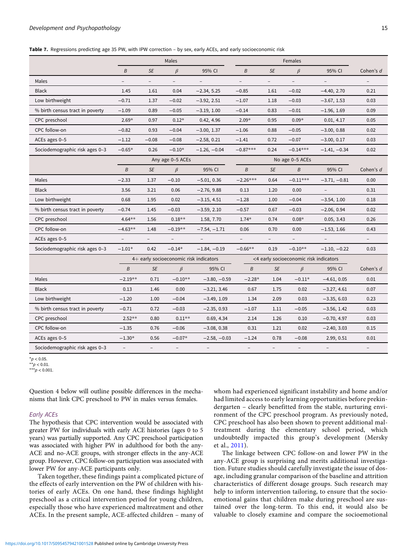<span id="page-14-0"></span>Table 7. Regressions predicting age 35 PW, with IPW correction – by sex, early ACEs, and early socioeconomic risk

|                                 |                          |                          | Males                                  |                          | Females                  |                          |                                        |                |                          |
|---------------------------------|--------------------------|--------------------------|----------------------------------------|--------------------------|--------------------------|--------------------------|----------------------------------------|----------------|--------------------------|
|                                 | B                        | <b>SE</b>                | $\beta$                                | 95% CI                   | B                        | <b>SE</b>                | $\beta$                                | 95% CI         | Cohen's d                |
| Males                           |                          | $\overline{\phantom{a}}$ | $\overline{\phantom{a}}$               |                          | $\overline{a}$           | $\overline{\phantom{0}}$ | $\overline{\phantom{a}}$               |                | $\overline{\phantom{a}}$ |
| <b>Black</b>                    | 1.45                     | 1.61                     | 0.04                                   | $-2.34, 5.25$            | $-0.85$                  | 1.61                     | $-0.02$                                | $-4.40, 2.70$  | 0.21                     |
| Low birthweight                 | $-0.71$                  | 1.37                     | $-0.02$                                | $-3.92, 2.51$            | $-1.07$                  | 1.18                     | $-0.03$                                | $-3.67, 1.53$  | 0.03                     |
| % birth census tract in poverty | $-1.09$                  | 0.89                     | $-0.05$                                | $-3.19, 1.00$            | $-0.14$                  | 0.83                     | $-0.01$                                | $-1.96, 1.69$  | 0.09                     |
| CPC preschool                   | $2.69*$                  | 0.97                     | $0.12*$                                | 0.42, 4.96               | $2.09*$                  | 0.95                     | $0.09*$                                | 0.01, 4.17     | 0.05                     |
| CPC follow-on                   | $-0.82$                  | 0.93                     | $-0.04$                                | $-3.00, 1.37$            | $-1.06$                  | 0.88                     | $-0.05$                                | $-3.00, 0.88$  | 0.02                     |
| ACEs ages 0-5                   | $-1.12$                  | $-0.08$                  | $-0.08$                                | $-2.58, 0.21$            | $-1.41$                  | 0.72                     | $-0.07$                                | $-3.00, 0.17$  | 0.03                     |
| Sociodemographic risk ages 0-3  | $-0.65*$                 | 0.26                     | $-0.10*$                               | $-1.26, -0.04$           | $-0.87***$               | 0.24                     | $-0.14***$                             | $-1.41, -0.34$ | 0.02                     |
|                                 | Any age 0-5 ACEs         |                          |                                        |                          |                          | No age 0-5 ACEs          |                                        |                |                          |
|                                 | B                        | <b>SE</b>                | $\beta$                                | 95% CI                   | B                        | <b>SE</b>                | B                                      | 95% CI         | Cohen's d                |
| Males                           | $-2.33$                  | 1.37                     | $-0.10$                                | $-5.01, 0.36$            | $-2.26***$               | 0.64                     | $-0.11***$                             | $-3.71, -0.81$ | 0.00                     |
| <b>Black</b>                    | 3.56                     | 3.21                     | 0.06                                   | $-2.76, 9.88$            | 0.13                     | 1.20                     | 0.00                                   |                | 0.31                     |
| Low birthweight                 | 0.68                     | 1.95                     | 0.02                                   | $-3.15, 4.51$            | $-1.28$                  | 1.00                     | $-0.04$                                | $-3.54, 1.00$  | 0.18                     |
| % birth census tract in poverty | $-0.74$                  | 1.45                     | $-0.03$                                | $-3.59, 2.10$            | $-0.57$                  | 0.67                     | $-0.03$                                | $-2.06, 0.94$  | 0.02                     |
| CPC preschool                   | $4.64**$                 | 1.56                     | $0.18**$                               | 1.58, 7.70               | $1.74*$                  | 0.74                     | $0.08*$                                | 0.05, 3.43     | 0.26                     |
| CPC follow-on                   | $-4.63**$                | 1.48                     | $-0.19**$                              | $-7.54, -1.71$           | 0.06                     | 0.70                     | 0.00                                   | $-1.53, 1.66$  | 0.43                     |
| ACEs ages 0-5                   | $\overline{\phantom{a}}$ | $\overline{\phantom{a}}$ | $\overline{\phantom{a}}$               | $\overline{a}$           | $\overline{\phantom{a}}$ | $-$                      | $\overline{\phantom{a}}$               |                | $-$                      |
| Sociodemographic risk ages 0-3  | $-1.01*$                 | 0.42                     | $-0.14*$                               | $-1.84, -0.19$           | $-0.66**$                | 0.19                     | $-0.10**$                              | $-1.10, -0.22$ | 0.03                     |
|                                 |                          |                          | 4+ early socioeconomic risk indicators |                          |                          |                          | <4 early socioeconomic risk indicators |                |                          |
|                                 | $\boldsymbol{B}$         | <b>SE</b>                | $\beta$                                | 95% CI                   | B                        | <b>SE</b>                | $\beta$                                | 95% CI         | Cohen's d                |
| Males                           | $-2.19**$                | 0.71                     | $-0.10**$                              | $-3.80, -0.59$           | $-2.28*$                 | 1.04                     | $-0.11*$                               | $-4.61, 0.05$  | 0.01                     |
| <b>Black</b>                    | 0.13                     | 1.46                     | 0.00                                   | $-3.21, 3.46$            | 0.67                     | 1.75                     | 0.02                                   | $-3.27, 4.61$  | 0.07                     |
| Low birthweight                 | $-1.20$                  | 1.00                     | $-0.04$                                | $-3.49, 1.09$            | 1.34                     | 2.09                     | 0.03                                   | $-3.35, 6.03$  | 0.23                     |
| % birth census tract in poverty | $-0.71$                  | 0.72                     | $-0.03$                                | $-2.35, 0.93$            | $-1.07$                  | 1.11                     | $-0.05$                                | $-3.56, 1.42$  | 0.03                     |
| CPC preschool                   | $2.52**$                 | 0.80                     | $0.11**$                               | 0.69, 4.34               | 2.14                     | 1.26                     | 0.10                                   | $-0.70, 4.97$  | 0.03                     |
| CPC follow-on                   | $-1.35$                  | 0.76                     | $-0.06$                                | $-3.08, 0.38$            | 0.31                     | 1.21                     | 0.02                                   | $-2.40, 3.03$  | 0.15                     |
| ACEs ages 0-5                   | $-1.30*$                 | 0.56                     | $-0.07*$                               | $-2.58, -0.03$           | $-1.24$                  | 0.78                     | $-0.08$                                | 2.99, 0.51     | 0.01                     |
| Sociodemographic risk ages 0-3  |                          |                          | $\overline{\phantom{a}}$               | $\overline{\phantom{0}}$ | $\overline{\phantom{a}}$ | $\overline{\phantom{a}}$ |                                        |                |                          |

 $*_{p}$  < 0.05.

 $\dot{r}$   $\star$   $p$  < 0.01.

\*\*\* $p < 0.001$ .

Question 4 below will outline possible differences in the mechanisms that link CPC preschool to PW in males versus females.

#### Early ACEs

The hypothesis that CPC intervention would be associated with greater PW for individuals with early ACE histories (ages 0 to 5 years) was partially supported. Any CPC preschool participation was associated with higher PW in adulthood for both the any-ACE and no-ACE groups, with stronger effects in the any-ACE group. However, CPC follow-on participation was associated with lower PW for any-ACE participants only.

Taken together, these findings paint a complicated picture of the effects of early intervention on the PW of children with histories of early ACEs. On one hand, these findings highlight preschool as a critical intervention period for young children, especially those who have experienced maltreatment and other ACEs. In the present sample, ACE-affected children – many of whom had experienced significant instability and home and/or had limited access to early learning opportunities before prekindergarten – clearly benefitted from the stable, nurturing environment of the CPC preschool program. As previously noted, CPC preschool has also been shown to prevent additional maltreatment during the elementary school period, which undoubtedly impacted this group's development (Mersky et al., [2011](#page-23-0)).

The linkage between CPC follow-on and lower PW in the any-ACE group is surprising and merits additional investigation. Future studies should carefully investigate the issue of dosage, including granular comparison of the baseline and attrition characteristics of different dosage groups. Such research may help to inform intervention tailoring, to ensure that the socioemotional gains that children make during preschool are sustained over the long-term. To this end, it would also be valuable to closely examine and compare the socioemotional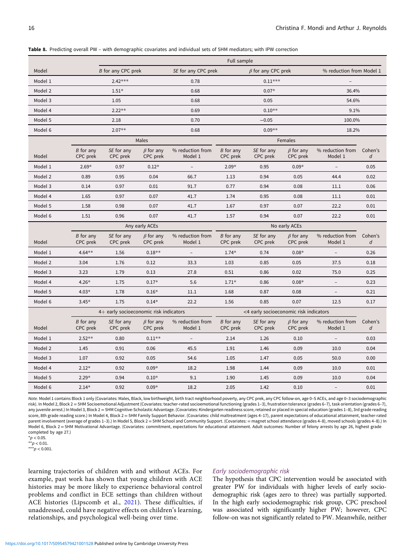|         |                         | Full sample                            |                             |                             |                         |                                        |                             |                             |                             |  |  |  |
|---------|-------------------------|----------------------------------------|-----------------------------|-----------------------------|-------------------------|----------------------------------------|-----------------------------|-----------------------------|-----------------------------|--|--|--|
| Model   |                         | B for any CPC prek                     |                             | SE for any CPC prek         |                         | $\beta$ for any CPC prek               |                             | % reduction from Model 1    |                             |  |  |  |
| Model 1 |                         | $2.42***$                              |                             | 0.78                        |                         | $0.11***$                              |                             | $\overline{\phantom{0}}$    |                             |  |  |  |
| Model 2 |                         | $1.51*$                                |                             | 0.68                        |                         | $0.07*$                                |                             | 36.4%                       |                             |  |  |  |
| Model 3 |                         | 1.05                                   |                             | 0.68                        |                         | 0.05                                   |                             | 54.6%                       |                             |  |  |  |
| Model 4 |                         | $2.22**$                               |                             | 0.69                        |                         | $0.10**$                               |                             | 9.1%                        |                             |  |  |  |
| Model 5 |                         | 2.18                                   |                             | 0.70                        |                         | $-0.05$                                |                             | 100.0%                      |                             |  |  |  |
| Model 6 |                         | $2.07**$                               |                             | 0.68                        |                         | $0.09**$                               |                             | 18.2%                       |                             |  |  |  |
|         |                         |                                        | Males                       |                             |                         |                                        | Females                     |                             |                             |  |  |  |
| Model   | B for any<br>CPC prek   | SE for any<br>CPC prek                 | $\beta$ for any<br>CPC prek | % reduction from<br>Model 1 | B for any<br>CPC prek   | SE for any<br>CPC prek                 | $\beta$ for any<br>CPC prek | % reduction from<br>Model 1 | Cohen's<br>$\boldsymbol{d}$ |  |  |  |
| Model 1 | $2.69*$                 | 0.97                                   | $0.12*$                     | $\overline{\phantom{a}}$    | $2.09*$                 | 0.95                                   | $0.09*$                     | $\overline{\phantom{a}}$    | 0.05                        |  |  |  |
| Model 2 | 0.89                    | 0.95                                   | 0.04                        | 66.7                        | 1.13                    | 0.94                                   | 0.05                        | 44.4                        | 0.02                        |  |  |  |
| Model 3 | 0.14                    | 0.97                                   | 0.01                        | 91.7                        | 0.77                    | 0.94                                   | 0.08                        | 11.1                        | 0.06                        |  |  |  |
| Model 4 | 1.65                    | 0.97                                   | 0.07                        | 41.7                        | 1.74                    | 0.95                                   | 0.08                        | 11.1                        | 0.01                        |  |  |  |
| Model 5 | 1.58                    | 0.98                                   | 0.07                        | 41.7                        | 1.67                    | 0.97                                   | 0.07                        | 22.2                        | 0.01                        |  |  |  |
| Model 6 | 1.51                    | 0.96                                   | 0.07                        | 41.7                        | 1.57                    | 0.94                                   | 0.07                        | 22.2                        | 0.01                        |  |  |  |
|         |                         |                                        | Any early ACEs              |                             |                         |                                        | No early ACEs               |                             |                             |  |  |  |
| Model   | B for any<br>CPC prek   | SE for any<br>CPC prek                 | $\beta$ for any<br>CPC prek | % reduction from<br>Model 1 | B for any<br>CPC prek   | SE for any<br>CPC prek                 | $\beta$ for any<br>CPC prek | % reduction from<br>Model 1 | Cohen's<br>d                |  |  |  |
| Model 1 | $4.64**$                | 1.56                                   | $0.18**$                    | $\overline{a}$              | $1.74*$                 | 0.74                                   | $0.08*$                     | $\overline{a}$              | 0.26                        |  |  |  |
| Model 2 | 3.04                    | 1.76                                   | 0.12                        | 33.3                        | 1.03                    | 0.85                                   | 0.05                        | 37.5                        | 0.18                        |  |  |  |
| Model 3 | 3.23                    | 1.79                                   | 0.13                        | 27.8                        | 0.51                    | 0.86                                   | 0.02                        | 75.0                        | 0.25                        |  |  |  |
| Model 4 | $4.26*$                 | 1.75                                   | $0.17*$                     | 5.6                         | $1.71*$                 | 0.86                                   | $0.08*$                     | $\overline{\phantom{a}}$    | 0.23                        |  |  |  |
| Model 5 | $4.03*$                 | 1.78                                   | $0.16*$                     | 11.1                        | 1.68                    | 0.87                                   | 0.08                        | $\overline{\phantom{a}}$    | 0.21                        |  |  |  |
| Model 6 | $3.45*$                 | 1.75                                   | $0.14*$                     | 22.2                        | 1.56                    | 0.85                                   | 0.07                        | 12.5                        | 0.17                        |  |  |  |
|         |                         | 4+ early socioeconomic risk indicators |                             |                             |                         | <4 early socioeconomic risk indicators |                             |                             |                             |  |  |  |
| Model   | $B$ for any<br>CPC prek | SE for any<br>CPC prek                 | $\beta$ for any<br>CPC prek | % reduction from<br>Model 1 | $B$ for any<br>CPC prek | SE for any<br>CPC prek                 | $\beta$ for any<br>CPC prek | % reduction from<br>Model 1 | Cohen's<br>d                |  |  |  |
| Model 1 | $2.52**$                | 0.80                                   | $0.11**$                    |                             | 2.14                    | 1.26                                   | 0.10                        |                             | 0.03                        |  |  |  |
| Model 2 | 1.45                    | 0.91                                   | 0.06                        | 45.5                        | 1.91                    | 1.46                                   | 0.09                        | 10.0                        | 0.04                        |  |  |  |
| Model 3 | 1.07                    | 0.92                                   | 0.05                        | 54.6                        | 1.05                    | 1.47                                   | 0.05                        | 50.0                        | 0.00                        |  |  |  |
| Model 4 | $2.12*$                 | 0.92                                   | $0.09*$                     | 18.2                        | 1.98                    | 1.44                                   | 0.09                        | 10.0                        | 0.01                        |  |  |  |
| Model 5 | $2.29*$                 | 0.94                                   | $0.10*$                     | 9.1                         | 1.90                    | 1.45                                   | 0.09                        | 10.0                        | 0.04                        |  |  |  |
| Model 6 | $2.14*$                 | 0.92                                   | $0.09*$                     | 18.2                        | 2.05                    | 1.42                                   | 0.10                        | ÷                           | 0.01                        |  |  |  |

<span id="page-15-0"></span>Table 8. Predicting overall PW – with demographic covariates and individual sets of 5HM mediators; with IPW correction

Note. Model 1 contains Block 1 only (Covariates: Males, Black, low birthweight, birth tract neighborhood poverty, any CPC prek, any CPC follow-on, age 0–5 ACEs, and age 0–3 sociodemographic risk). In Model 2, Block 2 = 5HM Socioemotional Adjustment (Covariates: teacher-rated socioemotional functioning (grades 1–3), frustration tolerance (grades 6–7), task orientation (grades 6–7), any juvenile arrest.) In Model 3, Block 2 = 5HM Cognitive-Scholastic Advantage. (Covariates: Kindergarten readiness score, retained or placed in special education (grades 1-8), 3rd grade reading score, 8th grade reading score.) In Model 4, Block 2 = 5HM Family Support Behavior. (Covariates: child maltreatment (ages 4-17), parent expectations of educational attainment, teacher-rated parent involvement (average of grades 1-3).) In Model 5, Block 2 = 5HM School and Community Support. (Covariates: = magnet school attendance (grades 4-8), moved schools (grades 4–8).) In Model 6, Block 2 = 5HM Motivational Advantage. (Covariates: commitment, expectations for educational attainment. Adult outcomes: Number of felony arrests by age 26, highest grade completed by age 27.)

 $*p < 0.05$ .

 $*p < 0.01$ 

\*\*\* $p < 0.001$ .

learning trajectories of children with and without ACEs. For example, past work has shown that young children with ACE histories may be more likely to experience behavioral control problems and conflict in ECE settings than children without ACE histories (Lipscomb et al., [2021\)](#page-23-0). These difficulties, if unaddressed, could have negative effects on children's learning, relationships, and psychological well-being over time.

#### Early sociodemographic risk

The hypothesis that CPC intervention would be associated with greater PW for individuals with higher levels of early sociodemographic risk (ages zero to three) was partially supported. In the high early sociodemographic risk group, CPC preschool was associated with significantly higher PW; however, CPC follow-on was not significantly related to PW. Meanwhile, neither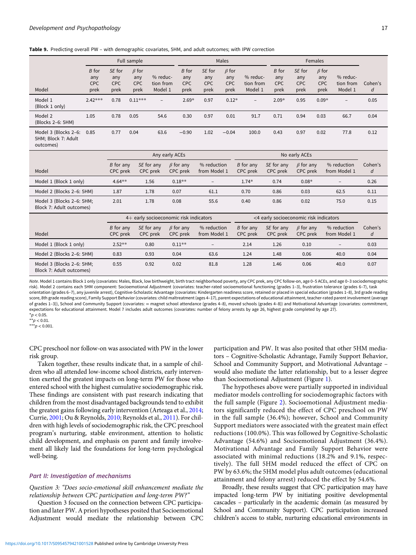<span id="page-16-0"></span>

|  |  |  |  | Table 9. Predicting overall PW - with demographic covariates, 5HM, and adult outcomes; with IPW correction |
|--|--|--|--|------------------------------------------------------------------------------------------------------------|
|--|--|--|--|------------------------------------------------------------------------------------------------------------|

|                                                          |            | Full sample |             |                          |            |            | Males       |                          | Females    |            |             |                          |         |
|----------------------------------------------------------|------------|-------------|-------------|--------------------------|------------|------------|-------------|--------------------------|------------|------------|-------------|--------------------------|---------|
|                                                          | B for      | SE for      | $\beta$ for |                          | B for      | SE for     | $\beta$ for |                          | B for      | SE for     | $\beta$ for |                          |         |
|                                                          | any        | any         | any         | % reduc-                 | any        | any        | any         | % reduc-                 | any        | any        | any         | % reduc-                 |         |
|                                                          | <b>CPC</b> | <b>CPC</b>  | <b>CPC</b>  | tion from                | <b>CPC</b> | <b>CPC</b> | <b>CPC</b>  | tion from                | <b>CPC</b> | <b>CPC</b> | <b>CPC</b>  | tion from                | Cohen's |
| Model                                                    | prek       | prek        | prek        | Model 1                  | prek       | prek       | prek        | Model 1                  | prek       | prek       | prek        | Model 1                  | d       |
| Model 1<br>(Block 1 only)                                | $2.42***$  | 0.78        | $0.11***$   | $\overline{\phantom{a}}$ | $2.69*$    | 0.97       | $0.12*$     | $\overline{\phantom{a}}$ | $2.09*$    | 0.95       | $0.09*$     | $\overline{\phantom{0}}$ | 0.05    |
| Model 2<br>(Blocks 2-6: 5HM)                             | 1.05       | 0.78        | 0.05        | 54.6                     | 0.30       | 0.97       | 0.01        | 91.7                     | 0.71       | 0.94       | 0.03        | 66.7                     | 0.04    |
| Model 3 (Blocks 2-6:<br>5HM; Block 7: Adult<br>outcomes) | 0.85       | 0.77        | 0.04        | 63.6                     | $-0.90$    | 1.02       | $-0.04$     | 100.0                    | 0.43       | 0.97       | 0.02        | 77.8                     | 0.12    |

|                                                       | Any early ACEs        |                        |                             |                             | No early ACEs         |                        |                             |                             |              |
|-------------------------------------------------------|-----------------------|------------------------|-----------------------------|-----------------------------|-----------------------|------------------------|-----------------------------|-----------------------------|--------------|
| Model                                                 | B for any<br>CPC prek | SE for any<br>CPC prek | $\beta$ for any<br>CPC prek | % reduction<br>from Model 1 | B for any<br>CPC prek | SE for any<br>CPC prek | $\beta$ for any<br>CPC prek | % reduction<br>from Model 1 | Cohen's<br>d |
| Model 1 (Block 1 only)                                | $4.64**$              | 1.56                   | $0.18**$                    | $\overline{\phantom{m}}$    | $1.74*$               | 0.74                   | $0.08*$                     | $\qquad \qquad -$           | 0.26         |
| Model 2 (Blocks 2-6: 5HM)                             | 1.87                  | 1.78                   | 0.07                        | 61.1                        | 0.70                  | 0.86                   | 0.03                        | 62.5                        | 0.11         |
| Model 3 (Blocks 2-6: 5HM;<br>Block 7: Adult outcomes) | 2.01                  | 1.78                   | 0.08                        | 55.6                        | 0.40                  | 0.86                   | 0.02                        | 75.0                        | 0.15         |

|                                                       | 4+ early socioeconomic risk indicators |                        |                             |                             | <4 early socioeconomic risk indicators |                        |                             |                             |              |
|-------------------------------------------------------|----------------------------------------|------------------------|-----------------------------|-----------------------------|----------------------------------------|------------------------|-----------------------------|-----------------------------|--------------|
| Model                                                 | B for any<br>CPC prek                  | SE for any<br>CPC prek | $\beta$ for any<br>CPC prek | % reduction<br>from Model 1 | B for any<br>CPC prek                  | SE for any<br>CPC prek | $\beta$ for any<br>CPC prek | % reduction<br>from Model 1 | Cohen's<br>d |
| Model 1 (Block 1 only)                                | $2.52**$                               | 0.80                   | $0.11**$                    | $\qquad \qquad -$           | 2.14                                   | 1.26                   | 0.10                        | $\overline{\phantom{a}}$    | 0.03         |
| Model 2 (Blocks 2-6: 5HM)                             | 0.83                                   | 0.93                   | 0.04                        | 63.6                        | 1.24                                   | 1.48                   | 0.06                        | 40.0                        | 0.04         |
| Model 3 (Blocks 2–6: 5HM;<br>Block 7: Adult outcomes) | 0.55                                   | 0.92                   | 0.02                        | 81.8                        | 1.28                                   | 1.46                   | 0.06                        | 40.0                        | 0.07         |

Note. Model 1 contains Block 1 only (covariates: Males, Black, low birthweight, birth tract neighborhood poverty, any CPC prek, any CPC follow-on, age 0–5 ACEs, and age 0–3 sociodemographic risk). Model 2 contains each 5HM component: Socioemotional Adjustment (covariates: teacher-rated socioemotional functioning (grades 1–3), frustration tolerance (grades 6–7), task orientation (grades 6–7), any juvenile arrest), Cognitive-Scholastic Advantage (covariates: Kindergarten readiness score, retained or placed in special education (grades 1–8), 3rd grade reading score, 8th grade reading score), Family Support Behavior (covariates: child maltreatment (ages 4–17), parent expectations of educational attainment, teacher-rated parent involvement (average of grades 1–3)), School and Community Support (covariates: = magnet school attendance (grades 4–8), moved schools (grades 4–8)) and Motivational Advantage (covariates: commitment, expectations for educational attainment. Model 7 includes adult outcomes (covariates: number of felony arrests by age 26, highest grade completed by age 27).  $*p < 0.05$ 

 $* p < 0.01$ 

\*\*\* $p < 0.001$ .

CPC preschool nor follow-on was associated with PW in the lower risk group.

Taken together, these results indicate that, in a sample of children who all attended low-income school districts, early intervention exerted the greatest impacts on long-term PW for those who entered school with the highest cumulative sociodemographic risk. These findings are consistent with past research indicating that children from the most disadvantaged backgrounds tend to exhibit the greatest gains following early intervention (Arteaga et al., [2014;](#page-22-0) Currie, [2001;](#page-22-0) Ou & Reynolds, [2010;](#page-23-0) Reynolds et al., [2011\)](#page-24-0). For children with high levels of sociodemographic risk, the CPC preschool program's nurturing, stable environment, attention to holistic child development, and emphasis on parent and family involvement all likely laid the foundations for long-term psychological well-being.

# Part II: Investigation of mechanisms

# Question 3: "Does socio-emotional skill enhancement mediate the relationship between CPC participation and long-term PW?"

Question 3 focused on the connection between CPC participation and later PW. A priori hypotheses posited that Socioemotional Adjustment would mediate the relationship between CPC participation and PW. It was also posited that other 5HM mediators – Cognitive-Scholastic Advantage, Family Support Behavior, School and Community Support, and Motivational Advantage – would also mediate the latter relationship, but to a lesser degree than Socioemotional Adjustment (Figure [1](#page-4-0)).

The hypotheses above were partially supported in individual mediator models controlling for sociodemographic factors with the full sample (Figure [2\)](#page-17-0). Socioemotional Adjustment mediators significantly reduced the effect of CPC preschool on PW in the full sample (36.4%); however, School and Community Support mediators were associated with the greatest main effect reductions (100.0%). This was followed by Cognitive-Scholastic Advantage (54.6%) and Socioemotional Adjustment (36.4%). Motivational Advantage and Family Support Behavior were associated with minimal reductions (18.2% and 9.1%, respectively). The full 5HM model reduced the effect of CPC on PW by 63.6%; the 5HM model plus adult outcomes (educational attainment and felony arrest) reduced the effect by 54.6%.

Broadly, these results suggest that CPC participation may have impacted long-term PW by initiating positive developmental cascades – particularly in the academic domain (as measured by School and Community Support). CPC participation increased children's access to stable, nurturing educational environments in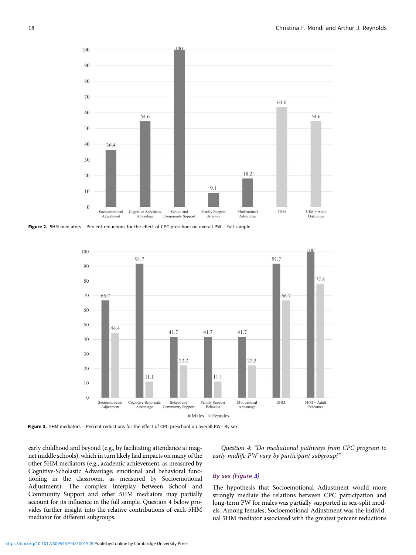<span id="page-17-0"></span>

Figure 2. 5HM mediators - Percent reductions for the effect of CPC preschool on overall PW - Full sample.



Figure 3. 5HM mediators - Percent reductions for the effect of CPC preschool on overall PW- By sex.

early childhood and beyond (e.g., by facilitating attendance at magnet middle schools), which in turn likely had impacts on many of the other 5HM mediators (e.g., academic achievement, as measured by Cognitive-Scholastic Advantage; emotional and behavioral functioning in the classroom, as measured by Socioemotional Adjustment). The complex interplay between School and Community Support and other 5HM mediators may partially account for its influence in the full sample. Question 4 below provides further insight into the relative contributions of each 5HM mediator for different subgroups.

Question 4: "Do mediational pathways from CPC program to early midlife PW vary by participant subgroup?"

# By sex (Figure 3)

The hypothesis that Socioemotional Adjustment would more strongly mediate the relations between CPC participation and long-term PW for males was partially supported in sex-split models. Among females, Socioemotional Adjustment was the individual 5HM mediator associated with the greatest percent reductions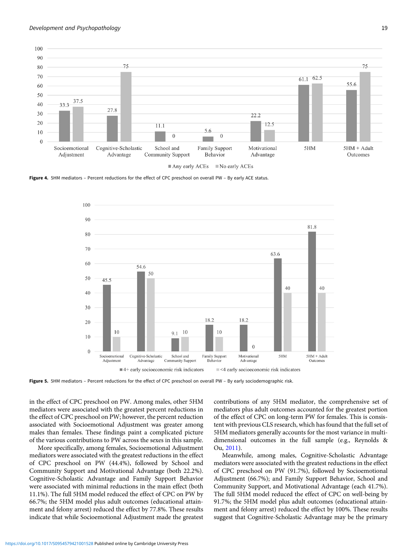<span id="page-18-0"></span>

Figure 4. 5HM mediators – Percent reductions for the effect of CPC preschool on overall PW – By early ACE status.



Figure 5. 5HM mediators - Percent reductions for the effect of CPC preschool on overall PW - By early sociodemographic risk.

in the effect of CPC preschool on PW. Among males, other 5HM mediators were associated with the greatest percent reductions in the effect of CPC preschool on PW; however, the percent reduction associated with Socioemotional Adjustment was greater among males than females. These findings paint a complicated picture of the various contributions to PW across the sexes in this sample.

More specifically, among females, Socioemotional Adjustment mediators were associated with the greatest reductions in the effect of CPC preschool on PW (44.4%), followed by School and Community Support and Motivational Advantage (both 22.2%). Cognitive-Scholastic Advantage and Family Support Behavior were associated with minimal reductions in the main effect (both 11.1%). The full 5HM model reduced the effect of CPC on PW by 66.7%; the 5HM model plus adult outcomes (educational attainment and felony arrest) reduced the effect by 77.8%. These results indicate that while Socioemotional Adjustment made the greatest contributions of any 5HM mediator, the comprehensive set of mediators plus adult outcomes accounted for the greatest portion of the effect of CPC on long-term PW for females. This is consistent with previous CLS research, which has found that the full set of 5HM mediators generally accounts for the most variance in multidimensional outcomes in the full sample (e.g., Reynolds & Ou, [2011](#page-24-0)).

Meanwhile, among males, Cognitive-Scholastic Advantage mediators were associated with the greatest reductions in the effect of CPC preschool on PW (91.7%), followed by Socioemotional Adjustment (66.7%); and Family Support Behavior, School and Community Support, and Motivational Advantage (each 41.7%). The full 5HM model reduced the effect of CPC on well-being by 91.7%; the 5HM model plus adult outcomes (educational attainment and felony arrest) reduced the effect by 100%. These results suggest that Cognitive-Scholastic Advantage may be the primary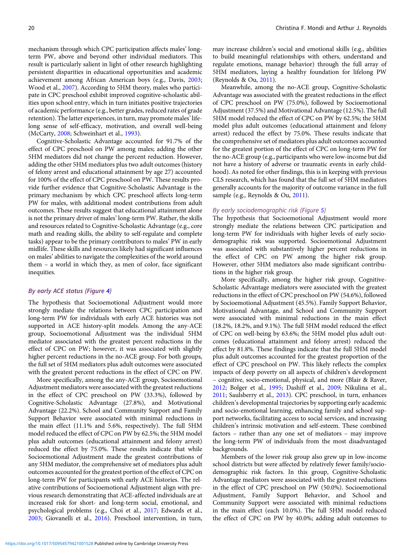mechanism through which CPC participation affects males' longterm PW, above and beyond other individual mediators. This result is particularly salient in light of other research highlighting persistent disparities in educational opportunities and academic achievement among African American boys (e.g., Davis, [2003](#page-22-0); Wood et al., [2007](#page-24-0)). According to 5HM theory, males who participate in CPC preschool exhibit improved cognitive-scholastic abilities upon school entry, which in turn initiates positive trajectories of academic performance (e.g., better grades, reduced rates of grade retention). The latter experiences, in turn, may promote males' lifelong sense of self-efficacy, motivation, and overall well-being (McCarty, [2008](#page-23-0); Schweinhart et al., [1993\)](#page-24-0).

Cognitive-Scholastic Advantage accounted for 91.7% of the effect of CPC preschool on PW among males; adding the other 5HM mediators did not change the percent reduction. However, adding the other 5HM mediators plus two adult outcomes (history of felony arrest and educational attainment by age 27) accounted for 100% of the effect of CPC preschool on PW. These results provide further evidence that Cognitive-Scholastic Advantage is the primary mechanism by which CPC preschool affects long-term PW for males, with additional modest contributions from adult outcomes. These results suggest that educational attainment alone is not the primary driver of males' long-term PW. Rather, the skills and resources related to Cognitive-Scholastic Advantage (e.g., core math and reading skills, the ability to self-regulate and complete tasks) appear to be the primary contributors to males' PW in early midlife. These skills and resources likely had significant influences on males' abilities to navigate the complexities of the world around them – a world in which they, as men of color, face significant inequities.

# By early ACE status (Figure [4\)](#page-18-0)

The hypothesis that Socioemotional Adjustment would more strongly mediate the relations between CPC participation and long-term PW for individuals with early ACE histories was not supported in ACE history-split models. Among the any-ACE group, Socioemotional Adjustment was the individual 5HM mediator associated with the greatest percent reductions in the effect of CPC on PW; however, it was associated with slightly higher percent reductions in the no-ACE group. For both groups, the full set of 5HM mediators plus adult outcomes were associated with the greatest percent reductions in the effect of CPC on PW.

More specifically, among the any-ACE group, Socioemotional Adjustment mediators were associated with the greatest reductions in the effect of CPC preschool on PW (33.3%), followed by Cognitive-Scholastic Advantage (27.8%), and Motivational Advantage (22.2%). School and Community Support and Family Support Behavior were associated with minimal reductions in the main effect (11.1% and 5.6%, respectively). The full 5HM model reduced the effect of CPC on PW by 62.5%; the 5HM model plus adult outcomes (educational attainment and felony arrest) reduced the effect by 75.0%. These results indicate that while Socioemotional Adjustment made the greatest contributions of any 5HM mediator, the comprehensive set of mediators plus adult outcomes accounted for the greatest portion of the effect of CPC on long-term PW for participants with early ACE histories. The relative contributions of Socioemotional Adjustment align with previous research demonstrating that ACE-affected individuals are at increased risk for short- and long-term social, emotional, and psychological problems (e.g., Choi et al., [2017](#page-22-0); Edwards et al., [2003;](#page-22-0) Giovanelli et al., [2016\)](#page-22-0). Preschool intervention, in turn,

may increase children's social and emotional skills (e.g., abilities to build meaningful relationships with others, understand and regulate emotions, manage behavior) through the full array of 5HM mediators, laying a healthy foundation for lifelong PW (Reynolds & Ou, [2011](#page-24-0)).

Meanwhile, among the no-ACE group, Cognitive-Scholastic Advantage was associated with the greatest reductions in the effect of CPC preschool on PW (75.0%), followed by Socioemotional Adjustment (37.5%) and Motivational Advantage (12.5%). The full 5HM model reduced the effect of CPC on PW by 62.5%; the 5HM model plus adult outcomes (educational attainment and felony arrest) reduced the effect by 75.0%. These results indicate that the comprehensive set of mediators plus adult outcomes accounted for the greatest portion of the effect of CPC on long-term PW for the no-ACE group (e.g., participants who were low-income but did not have a history of adverse or traumatic events in early childhood). As noted for other findings, this is in keeping with previous CLS research, which has found that the full set of 5HM mediators generally accounts for the majority of outcome variance in the full sample (e.g., Reynolds & Ou, [2011](#page-24-0)).

# By early sociodemographic risk (Figure [5\)](#page-18-0)

The hypothesis that Socioemotional Adjustment would more strongly mediate the relations between CPC participation and long-term PW for individuals with higher levels of early sociodemographic risk was supported. Socioemotional Adjustment was associated with substantively higher percent reductions in the effect of CPC on PW among the higher risk group. However, other 5HM mediators also made significant contributions in the higher risk group.

More specifically, among the higher risk group, Cognitive-Scholastic Advantage mediators were associated with the greatest reductions in the effect of CPC preschool on PW (54.6%), followed by Socioemotional Adjustment (45.5%). Family Support Behavior, Motivational Advantage, and School and Community Support were associated with minimal reductions in the main effect (18.2%, 18.2%, and 9.1%). The full 5HM model reduced the effect of CPC on well-being by 63.6%; the 5HM model plus adult outcomes (educational attainment and felony arrest) reduced the effect by 81.8%. These findings indicate that the full 5HM model plus adult outcomes accounted for the greatest proportion of the effect of CPC preschool on PW. This likely reflects the complex impacts of deep poverty on all aspects of children's development – cognitive, socio-emotional, physical, and more (Blair & Raver, [2012;](#page-22-0) Bolger et al., [1995](#page-22-0); Dashiff et al., [2009;](#page-22-0) Nikulina et al., [2011;](#page-23-0) Saulsberry et al., [2013\)](#page-24-0). CPC preschool, in turn, enhances children's developmental trajectories by supporting early academic and socio-emotional learning, enhancing family and school support networks, facilitating access to social services, and increasing children's intrinsic motivation and self-esteem. These combined factors – rather than any one set of mediators – may improve the long-term PW of individuals from the most disadvantaged backgrounds.

Members of the lower risk group also grew up in low-income school districts but were affected by relatively fewer family/sociodemographic risk factors. In this group, Cognitive-Scholastic Advantage mediators were associated with the greatest reductions in the effect of CPC preschool on PW (50.0%). Socioemotional Adjustment, Family Support Behavior, and School and Community Support were associated with minimal reductions in the main effect (each 10.0%). The full 5HM model reduced the effect of CPC on PW by 40.0%; adding adult outcomes to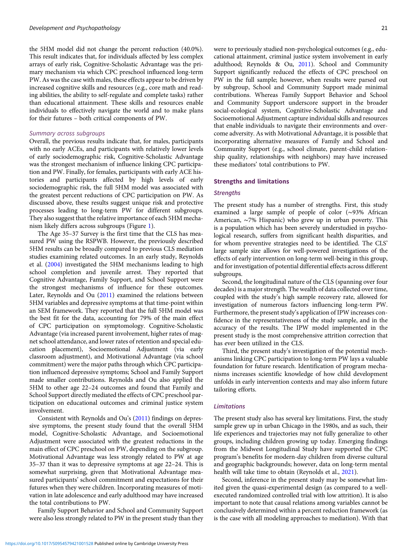the 5HM model did not change the percent reduction (40.0%). This result indicates that, for individuals affected by less complex arrays of early risk, Cognitive-Scholastic Advantage was the primary mechanism via which CPC preschool influenced long-term PW. As was the case with males, these effects appear to be driven by increased cognitive skills and resources (e.g., core math and reading abilities, the ability to self-regulate and complete tasks) rather than educational attainment. These skills and resources enable individuals to effectively navigate the world and to make plans for their futures – both critical components of PW.

#### Summary across subgroups

Overall, the previous results indicate that, for males, participants with no early ACEs, and participants with relatively lower levels of early sociodemographic risk, Cognitive-Scholastic Advantage was the strongest mechanism of influence linking CPC participation and PW. Finally, for females, participants with early ACE histories and participants affected by high levels of early sociodemographic risk, the full 5HM model was associated with the greatest percent reductions of CPC participation on PW. As discussed above, these results suggest unique risk and protective processes leading to long-term PW for different subgroups. They also suggest that the relative importance of each 5HM mechanism likely differs across subgroups (Figure [1\)](#page-4-0).

The Age 35–37 Survey is the first time that the CLS has measured PW using the RSPWB. However, the previously described 5HM results can be broadly compared to previous CLS mediation studies examining related outcomes. In an early study, Reynolds et al. ([2004](#page-24-0)) investigated the 5HM mechanisms leading to high school completion and juvenile arrest. They reported that Cognitive Advantage, Family Support, and School Support were the strongest mechanisms of influence for these outcomes. Later, Reynolds and Ou [\(2011\)](#page-24-0) examined the relations between 5HM variables and depressive symptoms at that time-point within an SEM framework. They reported that the full 5HM model was the best fit for the data, accounting for 79% of the main effect of CPC participation on symptomology. Cognitive-Scholastic Advantage (via increased parent involvement, higher rates of magnet school attendance, and lower rates of retention and special education placement), Socioemotional Adjustment (via early classroom adjustment), and Motivational Advantage (via school commitment) were the major paths through which CPC participation influenced depressive symptoms; School and Family Support made smaller contributions. Reynolds and Ou also applied the 5HM to other age 22–24 outcomes and found that Family and School Support directly mediated the effects of CPC preschool participation on educational outcomes and criminal justice system involvement.

Consistent with Reynolds and Ou's [\(2011\)](#page-24-0) findings on depressive symptoms, the present study found that the overall 5HM model, Cognitive-Scholastic Advantage, and Socioemotional Adjustment were associated with the greatest reductions in the main effect of CPC preschool on PW, depending on the subgroup. Motivational Advantage was less strongly related to PW at age 35–37 than it was to depressive symptoms at age 22–24. This is somewhat surprising, given that Motivational Advantage measured participants' school commitment and expectations for their futures when they were children. Incorporating measures of motivation in late adolescence and early adulthood may have increased the total contributions to PW.

Family Support Behavior and School and Community Support were also less strongly related to PW in the present study than they were to previously studied non-psychological outcomes (e.g., educational attainment, criminal justice system involvement in early adulthood; Reynolds & Ou, [2011](#page-24-0)). School and Community Support significantly reduced the effects of CPC preschool on PW in the full sample; however, when results were parsed out by subgroup, School and Community Support made minimal contributions. Whereas Family Support Behavior and School and Community Support underscore support in the broader social-ecological system, Cognitive-Scholastic Advantage and Socioemotional Adjustment capture individual skills and resources that enable individuals to navigate their environments and overcome adversity. As with Motivational Advantage, it is possible that incorporating alternative measures of Family and School and Community Support (e.g., school climate, parent-child relationship quality, relationships with neighbors) may have increased these mediators' total contributions to PW.

#### Strengths and limitations

#### **Strengths**

The present study has a number of strengths. First, this study examined a large sample of people of color (∼93% African American, ∼7% Hispanic) who grew up in urban poverty. This is a population which has been severely understudied in psychological research, suffers from significant health disparities, and for whom preventive strategies need to be identified. The CLS' large sample size allows for well-powered investigations of the effects of early intervention on long-term well-being in this group, and for investigation of potential differential effects across different subgroups.

Second, the longitudinal nature of the CLS (spanning over four decades) is a major strength. The wealth of data collected over time, coupled with the study's high sample recovery rate, allowed for investigation of numerous factors influencing long-term PW. Furthermore, the present study's application of IPW increases confidence in the representativeness of the study sample, and in the accuracy of the results. The IPW model implemented in the present study is the most comprehensive attrition correction that has ever been utilized in the CLS.

Third, the present study's investigation of the potential mechanisms linking CPC participation to long-term PW lays a valuable foundation for future research. Identification of program mechanisms increases scientific knowledge of how child development unfolds in early intervention contexts and may also inform future tailoring efforts.

#### Limitations

The present study also has several key limitations. First, the study sample grew up in urban Chicago in the 1980s, and as such, their life experiences and trajectories may not fully generalize to other groups, including children growing up today. Emerging findings from the Midwest Longitudinal Study have supported the CPC program's benefits for modern-day children from diverse cultural and geographic backgrounds; however, data on long-term mental health will take time to obtain (Reynolds et al., [2021](#page-24-0)).

Second, inference in the present study may be somewhat limited given the quasi-experimental design (as compared to a wellexecuted randomized controlled trial with low attrition). It is also important to note that causal relations among variables cannot be conclusively determined within a percent reduction framework (as is the case with all modeling approaches to mediation). With that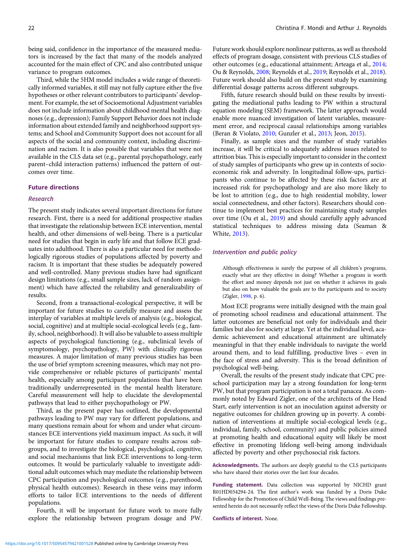being said, confidence in the importance of the measured mediators is increased by the fact that many of the models analyzed accounted for the main effect of CPC and also contributed unique variance to program outcomes.

Third, while the 5HM model includes a wide range of theoretically informed variables, it still may not fully capture either the five hypotheses or other relevant contributors to participants' development. For example, the set of Socioemotional Adjustment variables does not include information about childhood mental health diagnoses (e.g., depression); Family Support Behavior does not include information about extended family and neighborhood support systems; and School and Community Support does not account for all aspects of the social and community context, including discrimination and racism. It is also possible that variables that were not available in the CLS data set (e.g., parental psychopathology, early parent–child interaction patterns) influenced the pattern of outcomes over time.

# Future directions

# Research

The present study indicates several important directions for future research. First, there is a need for additional prospective studies that investigate the relationship between ECE intervention, mental health, and other dimensions of well-being. There is a particular need for studies that begin in early life and that follow ECE graduates into adulthood. There is also a particular need for methodologically rigorous studies of populations affected by poverty and racism. It is important that these studies be adequately powered and well-controlled. Many previous studies have had significant design limitations (e.g., small sample sizes, lack of random assignment) which have affected the reliability and generalizability of results.

Second, from a transactional-ecological perspective, it will be important for future studies to carefully measure and assess the interplay of variables at multiple levels of analysis (e.g., biological, social, cognitive) and at multiple social-ecological levels (e.g., family, school, neighborhood). It will also be valuable to assess multiple aspects of psychological functioning (e.g., subclinical levels of symptomology, psychopathology, PW) with clinically rigorous measures. A major limitation of many previous studies has been the use of brief symptom screening measures, which may not provide comprehensive or reliable pictures of participants' mental health, especially among participant populations that have been traditionally underrepresented in the mental health literature. Careful measurement will help to elucidate the developmental pathways that lead to either psychopathology or PW.

Third, as the present paper has outlined, the developmental pathways leading to PW may vary for different populations, and many questions remain about for whom and under what circumstances ECE interventions yield maximum impact. As such, it will be important for future studies to compare results across subgroups, and to investigate the biological, psychological, cognitive, and social mechanisms that link ECE interventions to long-term outcomes. It would be particularly valuable to investigate additional adult outcomes which may mediate the relationship between CPC participation and psychological outcomes (e.g., parenthood, physical health outcomes). Research in these veins may inform efforts to tailor ECE interventions to the needs of different populations.

Fourth, it will be important for future work to more fully explore the relationship between program dosage and PW. Future work should explore nonlinear patterns, as well as threshold effects of program dosage, consistent with previous CLS studies of other outcomes (e.g., educational attainment; Arteaga et al., [2014](#page-22-0); Ou & Reynolds, [2008](#page-23-0); Reynolds et al., [2019;](#page-24-0) Reynolds et al., [2018](#page-24-0)). Future work should also build on the present study by examining differential dosage patterns across different subgroups.

Fifth, future research should build on these results by investigating the mediational paths leading to PW within a structural equation modeling (SEM) framework. The latter approach would enable more nuanced investigation of latent variables, measurement error, and reciprocal causal relationships among variables (Beran & Violato, [2010;](#page-22-0) Gunzler et al., [2013;](#page-23-0) Jeon, [2015\)](#page-23-0).

Finally, as sample sizes and the number of study variables increase, it will be critical to adequately address issues related to attrition bias. This is especially important to consider in the context of study samples of participants who grew up in contexts of socioeconomic risk and adversity. In longitudinal follow-ups, participants who continue to be affected by these risk factors are at increased risk for psychopathology and are also more likely to be lost to attrition (e.g., due to high residential mobility, lower social connectedness, and other factors). Researchers should continue to implement best practices for maintaining study samples over time (Ou et al., [2019](#page-23-0)) and should carefully apply advanced statistical techniques to address missing data (Seaman & White, [2013](#page-24-0)).

#### Intervention and public policy

Although effectiveness is surely the purpose of all children's programs, exactly what are they effective in doing? Whether a program is worth the effort and money depends not just on whether it achieves its goals but also on how valuable the goals are to the participants and to society (Zigler, [1998](#page-25-0), p. 6).

Most ECE programs were initially designed with the main goal of promoting school readiness and educational attainment. The latter outcomes are beneficial not only for individuals and their families but also for society at large. Yet at the individual level, academic achievement and educational attainment are ultimately meaningful in that they enable individuals to navigate the world around them, and to lead fulfilling, productive lives – even in the face of stress and adversity. This is the broad definition of psychological well-being.

Overall, the results of the present study indicate that CPC preschool participation may lay a strong foundation for long-term PW, but that program participation is not a total panacea. As commonly noted by Edward Zigler, one of the architects of the Head Start, early intervention is not an inoculation against adversity or negative outcomes for children growing up in poverty. A combination of interventions at multiple social-ecological levels (e.g., individual, family, school, community) and public policies aimed at promoting health and educational equity will likely be most effective in promoting lifelong well-being among individuals affected by poverty and other psychosocial risk factors.

Acknowledgments. The authors are deeply grateful to the CLS participants who have shared their stories over the last four decades.

Funding statement. Data collection was supported by NICHD grant R01HD034294-24. The first author's work was funded by a Doris Duke Fellowship for the Promotion of Child Well-Being. The views and findings presented herein do not necessarily reflect the views of the Doris Duke Fellowship.

Conflicts of interest. None.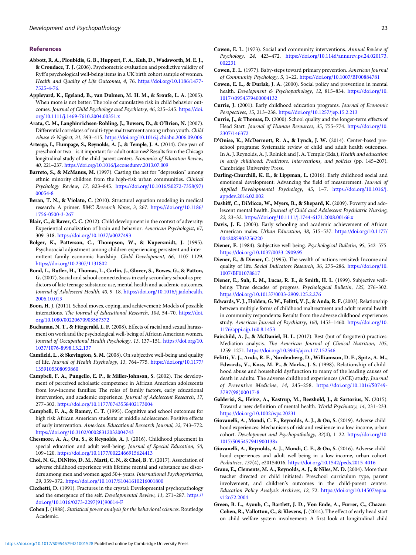#### <span id="page-22-0"></span>References

- Abbott, R. A., Ploubidis, G. B., Huppert, F. A., Kuh, D., Wadsworth, M. E. J., & Croudace, T. J. (2006). Psychometric evaluation and predictive validity of Ryff's psychological well-being items in a UK birth cohort sample of women. Health and Quality of Life Outcomes, 4, 76. [https://doi.org/10.1186/1477-](https://doi.org/10.1186/1477-7525-4-76) [7525-4-76](https://doi.org/10.1186/1477-7525-4-76).
- Appleyard, K., Egeland, B., van Dulmen, M. H. M., & Sroufe, L. A. (2005). When more is not better: The role of cumulative risk in child behavior outcomes. Journal of Child Psychology and Psychiatry, 46, 235–245. [https://doi.](https://doi.org/10.1111/j.1469-7610.2004.00351.x) [org/10.1111/j.1469-7610.2004.00351.x](https://doi.org/10.1111/j.1469-7610.2004.00351.x)
- Arata, C. M., Langhinrichsen-Rohling, J., Bowers, D., & O'Brien, N. (2007). Differential correlates of multi-type maltreatment among urban youth. Child Abuse & Neglect, 31, 393–415. <https://doi.org/10.1016.j.chiabu.2006.09.006>
- Arteaga, I., Humpage, S., Reynolds, A. J., & Temple, J. A. (2014). One year of preschool or two – is it important for adult outcomes? Results from the Chicago longitudinal study of the child-parent centers. Economics of Education Review, 40, 221–237. <https://doi.org/10.1016/j.econedurev.2013.07.009>
- Barreto, S., & McManus, M. (1997). Casting the net for "depression" among ethnic minority children from the high-risk urban communities. Clinical Psychology Review, 17, 823–845. [https://doi.org/10.1016/S0272-7358\(97\)](https://doi.org/10.1016/S0272-7358(97)00054-8) [00054-8](https://doi.org/10.1016/S0272-7358(97)00054-8)
- Beran, T. N., & Violato, C. (2010). Structural equation modeling in medical research: A primer. BMC Research Notes, 3, 267. [https://doi.org/10.1186/](https://doi.org/10.1186/1756-0500-3-267) [1756-0500-3-267](https://doi.org/10.1186/1756-0500-3-267)
- Blair, C., & Raver, C. C. (2012). Child development in the context of adversity: Experiential canalization of brain and behavior. American Psychologist, 67, 309–318. <https://doi.org/10.1037/a0027493>
- Bolger, K., Patterson, C., Thompson, W., & Kupersmidt, J. (1995). Psychosocial adjustment among children experiencing persistent and intermittent family economic hardship. Child Development, 66, 1107–1129. <https://doi.org/10.2307/1131802>
- Bond, L., Butler, H., Thomas, L., Carlin, J., Glover, S., Bowes, G., & Patton, G. (2007). Social and school connectedness in early secondary school as predictors of late teenage substance use, mental health and academic outcomes. Journal of Adolescent Health, 40, 9–18. [https://doi.org/10.1016/j.jadohealth.](https://doi.org/10.1016/j.jadohealth.2006.10.013) [2006.10.013](https://doi.org/10.1016/j.jadohealth.2006.10.013)
- Boon, H. J. (2011). School moves, coping, and achievement: Models of possible interactions. The Journal of Educational Research, 104, 54–70. [https://doi.](https://doi.org/10.1080/00220670903567372) [org/10.1080/00220670903567372](https://doi.org/10.1080/00220670903567372)
- Buchanan, N. T., & Fitzgerald, L. F. (2008). Effects of racial and sexual harassment on work and the psychological well-being of African American women. Journal of Occupational Health Psychology, 13, 137–151. [https://doi.org/10.](https://doi.org/10.1037/1076-8998.13.2.137) [1037/1076-8998.13.2.137](https://doi.org/10.1037/1076-8998.13.2.137)
- Camfield, L., & Skevington, S. M. (2008). On subjective well-being and quality of life. Journal of Health Psychology, 13, 764–775. [https://doi.org/10.1177/](https://doi.org/10.1177/1359105308093860) [1359105308093860](https://doi.org/10.1177/1359105308093860)
- Campbell, F. A., Pungello, E. P., & Miller-Johnson, S. (2002). The development of perceived scholastic competence in African American adolescents from low-income families: The roles of family factors, early educational intervention, and academic experience. Journal of Adolescent Research, 17, 277–302. <https://doi.org/10.1177/0743558402173004>
- Campbell, F. A., & Ramey, C. T. (1995). Cognitive and school outcomes for high risk African American students at middle adolescence: Positive effects of early intervention. American Educational Research Journal, 32, 743–772. <https://doi.org/10.3102/00028312032004743>
- Chesmore, A. A., Ou, S., & Reynolds, A. J. (2016). Childhood placement in special education and adult well-being. Journal of Special Education, 50, 109–120. <https://doi.org/10.1177/0022466915624413>
- Choi, N. G., DiNitto, D. M., Marti, C. N., & Choi, B. Y. (2017). Association of adverse childhood experience with lifetime mental and substance use disorders among men and women aged  $50+$  years. International Psychogeriatrics, 29, 359–372. <https://doi.org/10.1017/S1041610216001800>
- Cicchetti, D. (1991). Fractures in the crystal: Developmental psychopathology and the emergence of the self. Developmental Review, 11, 271–287. [https://](https://doi.org/10.1016/0273-2297(91)90014-F) [doi.org/10.1016/0273-2297\(91\)90014-F](https://doi.org/10.1016/0273-2297(91)90014-F)
- Cohen J. (1988). Statistical power analysis for the behavioral sciences. Routledge Academic.
- Cowen, E. L. (1973). Social and community interventions. Annual Review of Psychology, 24, 423–472. [https://doi.org/10.1146/annurev.ps.24.020173.](https://doi.org/10.1146/annurev.ps.24.020173.002231) [002231](https://doi.org/10.1146/annurev.ps.24.020173.002231)
- Cowen, E. L. (1977). Baby-steps toward primary prevention. American Journal of Community Psychology, 5, 1–22. <https://doi.org/10.1007/BF00884781>
- Cowen, E. L., & Durlak, J. A. (2000). Social policy and prevention in mental health. Development & Psychopathology, 12, 815-834. [https://doi.org/10.](https://doi.org/10.1017/s0954579400004132) [1017/s0954579400004132](https://doi.org/10.1017/s0954579400004132)
- Currie, J. (2001). Early childhood education programs. Journal of Economic Perspectives, 15, 213–238. <https://doi.org/10.1257/jep.15.2.213>
- Currie, J., & Thomas, D. (2000). School quality and the longer-term effects of Head Start. Journal of Human Resources, 35, 755–774. [https://doi.org/10.](https://doi.org/10.2307/146372) [2307/146372](https://doi.org/10.2307/146372)
- D'Onise, K., McDermott, R. A., & Lynch, J. W. (2014). Center-based preschool programs: Systematic review of child and adult health outcomes. In A. J. Reynolds, A. J. Rolnick and J. A. Temple (Eds.), Health and education in early childhood: Predictors, interventions, and policies (pp. 145–207). Cambridge University Press.
- Darling-Churchill, K. E., & Lippman, L. (2016). Early childhood social and emotional development: Advancing the field of measurement. Journal of Applied Developmental Psychology, 45, 1–7. [https://doi.org/10.1016/j.](https://doi.org/10.1016/j.appdev.2016.02.002) [appdev.2016.02.002](https://doi.org/10.1016/j.appdev.2016.02.002)
- Dashiff, C., DiMicco, W., Myers, B., & Shepard, K. (2009). Poverty and adolescent mental health. Journal of Child and Adolescent Psychiatric Nursing, 22, 23–32. <https://doi.org/10.1111/j.1744-6171.2008.00166.x>
- Davis, J. E. (2003). Early schooling and academic achievement of African American males. Urban Education, 38, 515–537. [https://doi.org/10.1177/](https://doi.org/10.1177/0042085903256220) [0042085903256220](https://doi.org/10.1177/0042085903256220)
- Diener, E. (1984). Subjective well-being. Psychological Bulletin, 95, 542–575. <https://doi.org/10.1037/0033-2909.95>
- Diener, E., & Diener, C. (1995). The wealth of nations revisited: Income and quality of life. Social Indicators Research, 36, 275–286. [https://doi.org/10.](https://doi.org/10.1007/BF01078817) [1007/BF01078817](https://doi.org/10.1007/BF01078817)
- Diener, E., Suh, E. M., Lucas, R. E., & Smith, H. L. (1999). Subjective wellbeing: Three decades of progress. Psychological Bulletin, 125, 276–302. <https://doi.org/10.10137/0033-2909.125.2.276>
- Edwards, V. J., Holden, G. W., Felitti, V. J., & Anda, R. F.(2003). Relationship between multiple forms of childhood maltreatment and adult mental health in community respondents: Results from the adverse childhood experiences study. American Journal of Psychiatry, 160, 1453–1460. [https://doi.org/10.](https://doi.org/10.1176/appi.ajp.160.8.1453) [1176/appi.ajp.160.8.1453](https://doi.org/10.1176/appi.ajp.160.8.1453)
- Fairchild, A. J., & McDaniel, H. L. (2017). Best (but of-forgotten) practices: Mediation analysis. The American Journal of Clinical Nutrition, 105, 1259–1271. <https://doi.org/10.3945/ajcn.117.152546>
- Felitti, V. J., Anda, R. F., Nordenberg, D., Williamson, D. F., Spitz, A. M., Edwards, V., Koss, M. P., & Marks, J. S. (1998). Relationship of childhood abuse and household dysfunction to many of the leading causes of death in adults. The adverse childhood experiences (ACE) study. Journal of Preventive Medicine, 14, 245–258. [https://doi.org/10.1016/S0749-](https://doi.org/10.1016/S0749-3797(98)00017-8) [3797\(98\)00017-8](https://doi.org/10.1016/S0749-3797(98)00017-8)
- Galderisi, S., Heinz, A., Kastrup, M., Beezhold, J., & Sartorius, N. (2015). Toward a new definition of mental health. World Psychiatry, 14, 231–233. <https://doi.org/10.1002/wps.20231>
- Giovanelli, A., Mondi, C. F., Reynolds, A. J., & Ou, S. (2019). Adverse childhood experiences: Mechanisms of risk and resilience in a low-income, urban cohort. Development and Psychopathology, 32(4), 1-22. [https://doi.org/10.](https://doi.org/10.1017/S095457941900138x) [1017/S095457941900138x](https://doi.org/10.1017/S095457941900138x)
- Giovanelli, A., Reynolds, A. J., Mondi, C. F., & Ou, S. (2016). Adverse childhood experiences and adult well-being in a low-income, urban cohort. Pediatrics, 137(4), e20154016. <https://doi.org/10.1542/peds.2015-4016>
- Graue, E., Clements, M. A., Reynolds, A. J., & Niles, M. D. (2004). More than teacher directed or child initiated: Preschool curriculum type, parent involvement, and children's outcomes in the child-parent centers. Education Policy Analysis Archives, 12, 72. [https://doi.org/10.14507/epaa.](https://doi.org/10.14507/epaa.v12n72.2004) [v12n72.2004](https://doi.org/10.14507/epaa.v12n72.2004)
- Green, B. L., Ayoub, C., Bartlett, J. D., Von Ende, A., Furrer, C., Chazan-Cohen, R., Vallotton, C., & Klevens, J. (2014). The effect of early head start on child welfare system involvement: A first look at longitudinal child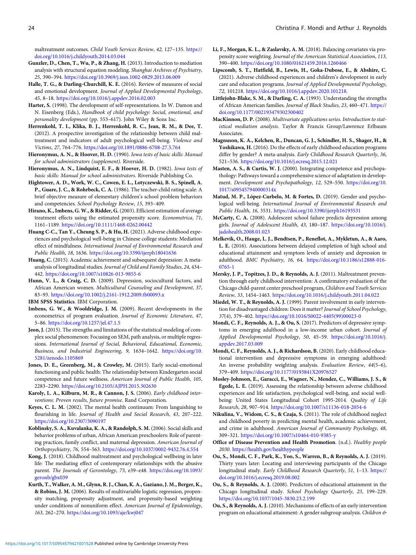<span id="page-23-0"></span>maltreatment outcomes. Child Youth Services Review, 42, 127–135. [https://](https://doi.org/10.1016/j.childyouth.2014.03.044) [doi.org/10.1016/j.childyouth.2014.03.044](https://doi.org/10.1016/j.childyouth.2014.03.044)

- Gunzler, D., Chen, T., Wu, P., & Zhang, H. (2013). Introduction to mediation analysis with structural equation modeling. Shanghai Archives of Psychiatry, 25, 390–394. <https://doi.org/10.3969/j.issn.1002-0829.2013.06.009>
- Halle, T. G., & Darling-Churchill, K. E. (2016). Review of measures of social and emotional development. Journal of Applied Developmental Psychology, 45, 8–18. <https://doi.org/10.1016/j.appdev.2016.02.003>
- Harter, S. (1998). The development of self-representations. In W. Damon and N. Eisenberg (Eds.), Handbook of child psychology: Social, emotional, and personality development (pp. 553–617). John Wiley & Sons Inc.
- Herrenkohl, T. I., Klika, B. J., Herrenkohl, R. C., Jean, R. M., & Dee, T. (2012). A prospective investigation of the relationship between child maltreatment and indicators of adult psychological well-being. Violence and Victims, 27, 764–776. <https://doi.org/10.1891/0886-6708-27.5.764>
- Hieronymus, A. N., & Hoover, H. D. (1990). Iowa tests of basic skills: Manual for school administrators (supplement). Riverside.
- Hieronymus, A. N., Lindquist, E. F., & Hoover, H. D. (1982). Iowa tests of basic skills: Manual for school administrators. Riverside Publishing Co.
- Hightower, A. D., Work, W. C., Cowen, E. L., Lotyczewski, B. S., Spinell, A. P., Guare, J. C., & Rohrbeck, C. A. (1986). The teacher-child rating scale: A brief objective measure of elementary children's school problem behaviors and competencies. School Psychology Review, 15, 393–409.
- Hirano, K., Imbens, G. W., & Ridder, G. (2003). Efficient estimation of average treatment effects using the estimated propensity score. Econometrica, 71, 1161–1189. <https://doi.org/10.1111/1468-0262.00442>
- Huang C-C., Tan Y., Cheung S. P., & Hu, H. (2021). Adverse childhood experiences and psychological well-being in Chinese college students: Mediation effect of mindfulness. International Journal of Environmental Research and Public Health, 18, 1636. <https://doi.org/10.3390/ijerph18041636>
- Huang, C. (2015). Academic achievement and subsequent depression: A metaanalysis of longitudinal studies. Journal of Child and Family Studies, 24, 434– 442. <https://doi.org/10.1007/s10826-013-9855-6>
- Hunn, V. L., & Craig, C. D. (2009). Depression, sociocultural factors, and African American women. Multicultural Counseling and Development, 37, 83–93. <https://doi.org/10.1002/j.2161-1912.2009.tb00093.x>
- IBM SPSS Statistics. IBM Corporation.
- Imbens, G. W., & Wooldridge, J. M. (2009). Recent developments in the econometrics of program evaluation. Journal of Economic Literature, 47, 5–86. <https://doi.org/10.1257/jel.47.1.5>
- Jeon, J. (2015). The strengths and limitations of the statistical modeling of complex social phenomenon: Focusing on SEM, path analysis, or multiple regressions. International Journal of Social, Behavioral, Educational, Economic, Business, and Industrial Engineering, 9, 1634–1642. [https://doi.org/10.](https://doi.org/10.5281/zenodo.1105869) [5281/zenodo.1105869](https://doi.org/10.5281/zenodo.1105869)
- Jones, D. E., Greenberg, M., & Crowley, M. (2015). Early social-emotional functioning and public health: The relationship between Kindergarten social competence and future wellness. American Journal of Public Health, 105, 2283–2290. <https://doi.org/10.2105/AJPH.2015.302630>
- Karoly, L. A., Kilburn, M. R., & Cannon, J. S. (2006). Early childhood interventions: Proven results, future promise. Rand Corporation.
- Keyes, C. L. M. (2002). The mental health continuum: From languishing to flourishing in life. Journal of Health and Social Research, 43, 207–222. <https://doi.org/10.2307/3090197>
- Koblinsky, S. A., Kuvalanka, K. A., & Randolph, S. M. (2006). Social skills and behavior problems of urban, African American preschoolers: Role of parenting practices, family conflict, and maternal depression. American Journal of Orthopsychiatry, 76, 554–563. <https://doi.org/10.1037/0002-9432.76.4.554>
- Kong, J. (2018). Childhood maltreatment and psychological wellbeing in later life: The mediating effect of contemporary relationships with the abusive parent. The Journals of Gerontology, 73, e39–e48. [https://doi.org/10.1093/](https://doi.org/10.1093/geronb/gbx039) [geronb/gbx039](https://doi.org/10.1093/geronb/gbx039)
- Kurth, T., Walker, A. M., Glynn, R. J., Chan, K. A., Gaziano, J. M., Berger, K., & Robins, J. M. (2006). Results of multivariable logistic regression, propensity matching, propensity adjustment, and propensity-based weighting under conditions of nonuniform effect. American Journal of Epidemiology, 163, 262–270. <https://doi.org/10.1093/aje/kwj047>
- Li, F., Morgan, K. L., & Zaslavsky, A. M. (2018). Balancing covariates via propensity score weighting. Journal of the American Statistical Association, 113, 390–400. <https://doi.org/10.1080/01621459.2016.1260466>
- Lipscomb, S. T., Hatfield, B., Lewis, H., Goka-Dubose, E., & Abshire, C. (2021). Adverse childhood experiences and children's development in early care and education programs. Journal of Applied Developmental Psychology, 72, 101218. [https://doi.org/10.1016/j.appdev.2020.101218.](https://doi.org/10.1016/j.appdev.2020.101218)
- Littlejohn-Blake, S. M., & Darling, C. A. (1993). Understanding the strengths of African American families. Journal of Black Studies, 23, 460–471. [https://](https://doi.org/10.1177/002193479302300402) [doi.org/10.1177/002193479302300402](https://doi.org/10.1177/002193479302300402)
- MacKinnon, D. P. (2008). Multivariate applications series. Introduction to statistical mediation analysis. Taylor & Francis Group/Lawrence Erlbaum Associates.
- Magnuson, K. A., Kelchen, R., Duncan, G. J., Schindler, H. S., Shager, H., & Yoshikawa, H. (2016). Do the effects of early childhood education programs differ by gender? A meta-analysis. Early Childhood Research Quarterly, 36, 521–536. <https://doi.org/10.1016/j.ecresq.2015.12.021>
- Masten, A. S., & Curtis, W. J. (2000). Integrating competence and psychopathology: Pathways toward a comprehensive science of adaptation in development. Development and Psychopathology, 12, 529–550. [https://doi.org/10.](https://doi.org/10.1017/s095457940000314x) [1017/s095457940000314x](https://doi.org/10.1017/s095457940000314x)
- Matud, M. P., López-Curbelo, M. & Fortes, D. (2019). Gender and psychological well-being. International Journal of Environmental Research and Public Health, 16, 3531. <https://doi.org/10.3390/ijerph16193531>
- McCarty, C. A. (2008). Adolescent school failure predicts depression among girls. Journal of Adolescent Health, 43, 180–187. [https://doi.org/10.1016/j.](https://doi.org/10.1016/j.jadohealth.2008.01.023) [jadohealth.2008.01.023](https://doi.org/10.1016/j.jadohealth.2008.01.023)
- Melkevik, O., Hauge, L. J., Bendtsen, P., Reneflot, A., Mykletun, A., & Aaro, L. E. (2016). Associations between delayed completion of high school and educational attainment and symptom levels of anxiety and depression in adulthood. BMC Psychiatry, 16, 64. [https://doi.org/10.1186/s12888-016-](https://doi.org/10.1186/s12888-016-0765-1) [0765-1](https://doi.org/10.1186/s12888-016-0765-1)
- Mersky, J. P., Topitzes, J. D., & Reynolds, A. J. (2011). Maltreatment prevention through early childhood intervention: A confirmatory evaluation of the Chicago child-parent center preschool program, Children and Youth Services Review, 33, 1454–1463. <https://doi.org/10.1016/j.childyouth.2011.04.022>
- Miedel, W. T., & Reynolds, A. J. (1999). Parent involvement in early intervention for disadvantaged children: Does it matter? Journal of School Psychology, 37(4), 379–402. [https://doi.org/10.1016/S0022-4405\(99\)00023-0](https://doi.org/10.1016/S0022-4405(99)00023-0)
- Mondi, C. F., Reynolds, A. J., & Ou, S. (2017). Predictors of depressive symptoms in emerging adulthood in a low-income urban cohort. Journal of Applied Developmental Psychology, 50, 45–59. [https://doi.org/10.1016/j.](https://doi.org/10.1016/j.appdev.2017.03.009) [appdev.2017.03.009](https://doi.org/10.1016/j.appdev.2017.03.009)
- Mondi, C. F., Reynolds, A. J., & Richardson, B.(2020). Early childhood educational intervention and depressive symptoms in emerging adulthood: An inverse probability weighting analysis. Evaluation Review, 44(5–6), 379–409. <https://doi.org/10.1177/0193841X20976527>
- Mosley-Johnson, E., Garacci, E., Wagner, N., Mendez, C., Williams, J. S., & Egede, L. E. (2019). Assessing the relationship between adverse childhood experiences and life satisfaction, psychological well-being, and social wellbeing: United States Longitudinal Cohort 1995-2014. Quality of Life Research, 28, 907–914. <https://doi.org/10.1007/s11136-018-2054-6>
- Nikulina, V., Widom, C. S., & Czaja, S. (2011). The role of childhood neglect and childhood poverty in predicting mental health, academic achievement, and crime in adulthood. American Journal of Community Psychology, 48, 309–321. <https://doi.org/10.1007/s10464-010-9385-y>
- Office of Disease Prevention and Health Promotion. (n.d.). Healthy people 2030. <https://health.gov/healthypeople>
- Ou, S., Mondi, C. F., Park, K., Yoo, S., Warren, B., & Reynolds, A. J. (2019). Thirty years later: Locating and interviewing participants of the Chicago longitudinal study. Early Childhood Research Quarterly, 51, 1–13. [https://](https://doi.org/10.1016/j.ecresq.2019.08.002) [doi.org/10.1016/j.ecresq.2019.08.002](https://doi.org/10.1016/j.ecresq.2019.08.002)
- Ou, S., & Reynolds, A. J. (2008). Predictors of educational attainment in the Chicago longitudinal study. School Psychology Quarterly, 23, 199–229. <https://doi.org/10.1037/1045-3830.23.2.199>
- Ou, S., & Reynolds, A. J. (2010). Mechanisms of effects of an early intervention program on educational attainment: A gender subgroup analysis. Children &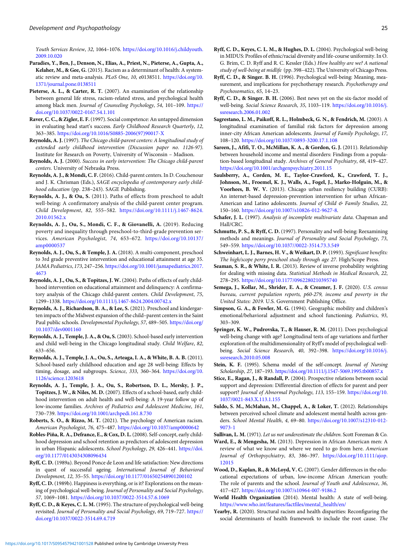<span id="page-24-0"></span>Youth Services Review, 32, 1064–1076. [https://doi.org/10.1016/j.childyouth.](https://doi.org/10.1016/j.childyouth.2009.10.020) [2009.10.020](https://doi.org/10.1016/j.childyouth.2009.10.020)

- Paradies, Y., Ben, J., Denson, N., Elias, A., Priest, N., Pieterse, A., Gupta, A., Kelaher, M., & Gee, G. (2015). Racism as a determinant of health: A systematic review and meta-analysis. PLoS One, 10, e0138511. [https://doi.org/10.](https://doi.org/10.1371/journal.pone.0138511) [1371/journal.pone.0138511](https://doi.org/10.1371/journal.pone.0138511)
- Pieterse, A. L., & Carter, R. T. (2007). An examination of the relationship between general life stress, racism-related stress, and psychological health among black men. Journal of Counseling Psychology, 54, 101–109. [https://](https://doi.org/10.1037/0022-0167.54.1.101) [doi.org/10.1037/0022-0167.54.1.101](https://doi.org/10.1037/0022-0167.54.1.101)
- Raver, C. C., & Zigler, E. F.(1997). Social competence: An untapped dimension in evaluating head start's success. Early Childhood Research Quarterly, 12, 363–385. [https://doi.org/10.1016/S0885-2006\(97\)90017-X](https://doi.org/10.1016/S0885-2006(97)90017-X)
- Reynolds, A. J. (1997). The Chicago child-parent centers: A longitudinal study of extended early childhood intervention (Discussion paper no. 1126-97). Institute for Research on Poverty, University of Wisconsin – Madison.
- Reynolds, A. J. (2000). Success in early intervention: The Chicago child-parent centers. University of Nebraska Press.
- Reynolds, A. J., & Mondi, C. F.(2016). Child-parent centers. In D. Couchenour and J. K. Chrisman (Eds.), SAGE encyclopedia of contemporary early childhood education (pp. 238–243). SAGE Publishing.
- Reynolds, A. J., & Ou, S. (2011). Paths of effects from preschool to adult well-being: A confirmatory analysis of the child-parent center program. Child Development, 82, 555–582. [https://doi.org/10.1111/j.1467-8624.](https://doi.org/10.1111/j.1467-8624.2010.01562.x) [2010.01562.x](https://doi.org/10.1111/j.1467-8624.2010.01562.x)
- Reynolds, A. J., Ou, S., Mondi, C. F., & Giovanelli, A. (2019). Reducing poverty and inequality through preschool-to-third-grade prevention services. American Psychologist, 74, 653–672. [https://doi.org/10.10137/](https://doi.org/10.10137/amp0000537) [amp0000537](https://doi.org/10.10137/amp0000537)
- Reynolds, A. J., Ou, S., & Temple, J. A. (2018). A multi-component, preschool to 3rd grade preventive intervention and educational attainment at age 35. JAMA Pediatrics, 173, 247–256. [https://doi.org/10.1001/jamapediatrics.2017.](https://doi.org/10.1001/jamapediatrics.2017.4673) [4673](https://doi.org/10.1001/jamapediatrics.2017.4673)
- Reynolds, A. J., Ou, S., & Topitzes, J. W. (2004). Paths of effects of early childhood intervention on educational attainment and delinquency: A confirmatory analysis of the Chicago child-parent centers. Child Development, 75, 1299–1338. <https://doi.org/10.1111/j.1467-8624.2004.00742.x>
- Reynolds, A. J., Richardson, B. A., & Lee, S. (2021). Preschool and kindergarten impacts of the Midwest expansion of the child–parent centers in the Saint Paul public schools. Developmental Psychology, 57, 489–505. [https://doi.org/](https://doi.org/10.1037/dev0001160) [10.1037/dev0001160](https://doi.org/10.1037/dev0001160)
- Reynolds, A. J., Temple, J. A., & Ou, S. (2003). School-based early intervention and child well-being in the Chicago longitudinal study. Child Welfare, 82, 633–656.
- Reynolds, A. J., Temple, J. A., Ou, S., Arteaga, I. A., & White, B. A. B. (2011). School-based early childhood education and age 28 well-being: Effects by timing, dosage, and subgroups. Science, 333, 360-364. [https://doi.org/10.](https://doi.org/10.1126/science.1203618) [1126/science.1203618](https://doi.org/10.1126/science.1203618)
- Reynolds, A. J., Temple, J. A., Ou, S., Robertson, D. L., Mersky, J. P., Topitzes, J. W., & Niles, M. D. (2007). Effects of a school-based, early childhood intervention on adult health and well-being: A 19-year follow up of low-income families. Archives of Pediatrics and Adolescent Medicine, 161, 730–739. <https://doi.org/10.1001/archpedi.161.8.730>
- Roberts, S. O., & Rizzo, M. T. (2021). The psychology of American racism. American Psychologist, 76, 475–487. <https://doi.org/10.1037/amp0000642>
- Robles-Piña, R. A., Defrance, E., & Cox, D. L. (2008). Self-concept, early childhood depression and school retention as predictors of adolescent depression in urban Hispanic adolescents. School Psychology, 29, 426–441. [https://doi.](https://doi.org/10.1177/0143034308096434) [org/10.1177/0143034308096434](https://doi.org/10.1177/0143034308096434)
- Ryff, C. D. (1989a). Beyond Ponce de Leon and life satisfaction: New directions in quest of successful ageing. International Journal of Behavioral Development, 12, 35–55. <https://doi.org/10.1177/016502548901200102>
- Ryff, C. D. (1989b). Happiness is everything, or is it? Explorations on the meaning of psychological well-being. Journal of Personality and Social Psychology, 57, 1069–1081. <https://doi.org/10.1037/0022-3514.57.6.1069>
- Ryff, C. D., & Keyes, C. L. M. (1995). The structure of psychological well-being revisited. Journal of Personality and Social Psychology, 69, 719–727. [https://](https://doi.org/10.1037/0022-3514.69.4.719) [doi.org/10.1037/0022-3514.69.4.719](https://doi.org/10.1037/0022-3514.69.4.719)
- Ryff, C. D., Keyes, C. L. M., & Hughes, D. L. (2004). Psychological well-being in MIDUS: Profiles of ethnic/racial diversity and life-course uniformity. In O. G. Brim, C. D. Ryff and R. C. Kessler (Eds.) How healthy are we? A national study of well-being at midlife (pp. 398–422). The University of Chicago Press.
- Ryff, C. D., & Singer. B. H. (1996). Psychological well-being: Meaning, measurement, and implications for psychotherapy research. Psychotherapy and Psychosomatics, 65, 14–23.
- Ryff, C. D., & Singer. B. H. (2006). Best news yet on the six-factor model of well-being. Social Science Research, 35, 1103–119. [https://doi.org/10.1016/j.](https://doi.org/10.1016/j.ssresearch.2006.01.002) [ssresearch.2006.01.002](https://doi.org/10.1016/j.ssresearch.2006.01.002)
- Sagrestano, L. M., Paikoff, R. L., Holmbeck, G. N., & Fendrich, M. (2003). A longitudinal examination of familial risk factors for depression among inner-city African American adolescents. Journal of Family Psychology, 17, 108–120. <https://doi.org/10.1037/0893-3200.17.1.108>
- Sareen, J., Afifi, T. O., McMillan, K. A., & Gordon, G. J. (2011). Relationship between household income and mental disorders: Findings from a population-based longitudinal study. Archives of General Psychiatry, 68, 419–427. <https://doi.org/10.1001/archgenpsychiatry.2011.15>
- Saulsberry, A., Corden, M. E., Taylor-Crawford, K., Crawford, T. J., Johnson, M., Froemel, K. J., Walls, A., Fogel, J., Marko-Holguin, M., & Voorhees, B. W. V. (2013). Chicago urban resiliency building (CURB): An internet-based depression-prevention intervention for urban African-American and Latino adolescents. Journal of Child & Family Studies, 22, 150–160. [https://doi.org/10.1007/s10826-012-9627-8.](https://doi.org/10.1007/s10826-012-9627-8)
- Schafer, J. L. (1997). Analysis of incomplete multivariate data. Chapman and Hall/CRC.
- Schmutte, P. S., & Ryff, C. D. (1997). Personality and well-being: Reexamining methods and meanings. Journal of Personality and Social Psychology, 73, 549–559. <https://doi.org/10.1037//0022-3514.73.3.549>
- Schweinhart, L. J., Barnes, H. V., & Weikart, D. P. (1993). Significant benefits: The high/scope perry preschool study through age 27. High/Scope Press.
- Seaman, S. R., & White, I. R. (2013). Review of inverse probability weighting for dealing with missing data. Statistical Methods in Medical Research, 22, 278–295. <https://doi.org/10.1177/0962280210395740>
- Semega, J., Kollar, M., Shrider, E. A., & Creamer, J. F. (2020). U.S. census bureau, current population reports, p60-279, income and poverty in the United States: 2019. U.S. Government Publishing Office.
- Simpson, G. A., & Fowler, M. G. (1994). Geographic mobility and children's emotional/behavioral adjustment and school functioning. Pediatrics, 93, 303–309.
- Springer, K. W., Pudrovska, T., & Hauser, R. M. (2011). Does psychological well-being change with age? Longitudinal tests of age variations and further exploration of the multidimensionality of Ryff's model of psychological wellbeing. Social Science Research, 40, 392–398. [https://doi.org/10.1016/j.](https://doi.org/10.1016/j.ssresearch.2010.05.008) [ssresearch.2010.05.008](https://doi.org/10.1016/j.ssresearch.2010.05.008)
- Stein, K. F. (1995). Schema model of the self-concept. Journal of Nursing Scholarship, 27, 187–193. <https://doi.org/10.1111/j.1547-5069.1995.tb00857.x>
- Stice, E., Ragan, J., & Randall, P. (2004). Prospective relations between social support and depression: Differential direction of effects for parent and peer support? Journal of Abnormal Psychology, 113, 155-159. [https://doi.org/10.](https://doi.org/10.1037/0021-843.X.113.1.155) [1037/0021-843.X.113.1.155](https://doi.org/10.1037/0021-843.X.113.1.155)
- Suldo, S. M., McMahan, M., Chappel, A., & Loker, T. (2012). Relationships between perceived school climate and adolescent mental health across genders. School Mental Health, 4, 69–80. [https://doi.org/10.1007/s12310-012-](https://doi.org/10.1007/s12310-012-9073-1) [9073-1](https://doi.org/10.1007/s12310-012-9073-1)
- Sullivan, L. M. (1971). Let us not underestimate the children. Scott Foreman & Co.
- Ward, E., & Mengesha, M. (2013). Depression in African American men: A review of what we know and where we need to go from here. American Journal of Orthopsychiatry, 83, 386–397. [https://doi.org/10.1111/ajop.](https://doi.org/10.1111/ajop.12015) [12015](https://doi.org/10.1111/ajop.12015)
- Wood, D., Kaplan, R., & McLoyd, V. C. (2007). Gender differences in the educational expectations of urban, low-income African American youth: The role of parents and the school. Journal of Youth and Adolescence, 36, 417–427. <https://doi.org/10.1007/s10964-007-9186.2>
- World Health Organization (2014). Mental health: A state of well-being. [https://www.who.int/features/factfiles/mental\\_health/en/](https://www.who.int/features/factfiles/mental_health/en/)
- Yearby, R. (2020). Structural racism and health disparities: Reconfiguring the social determinants of health framework to include the root cause. The